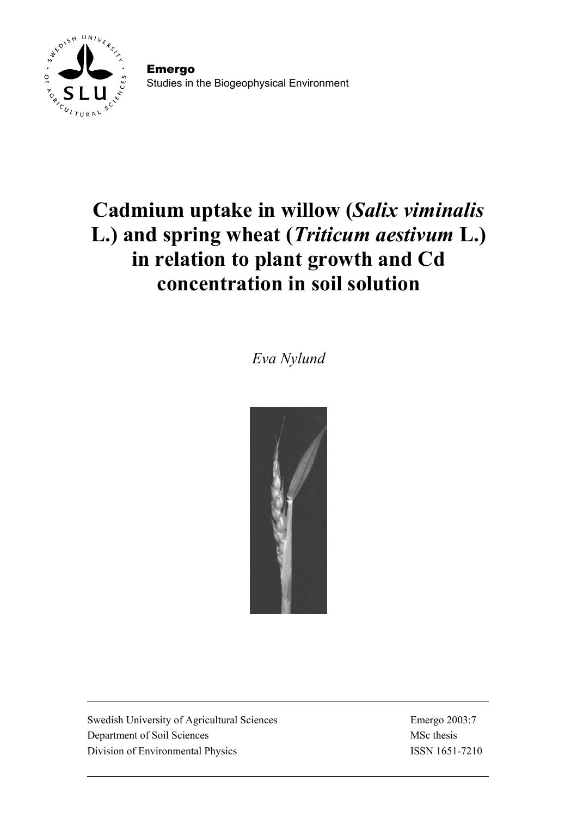

Emergo Studies in the Biogeophysical Environment

# **Cadmium uptake in willow (***Salix viminalis* **L.) and spring wheat (***Triticum aestivum* **L.) in relation to plant growth and Cd concentration in soil solution**

*Eva Nylund* 



Swedish University of Agricultural Sciences Emergo 2003:7 Department of Soil Sciences MSc thesis Division of Environmental Physics ISSN 1651-7210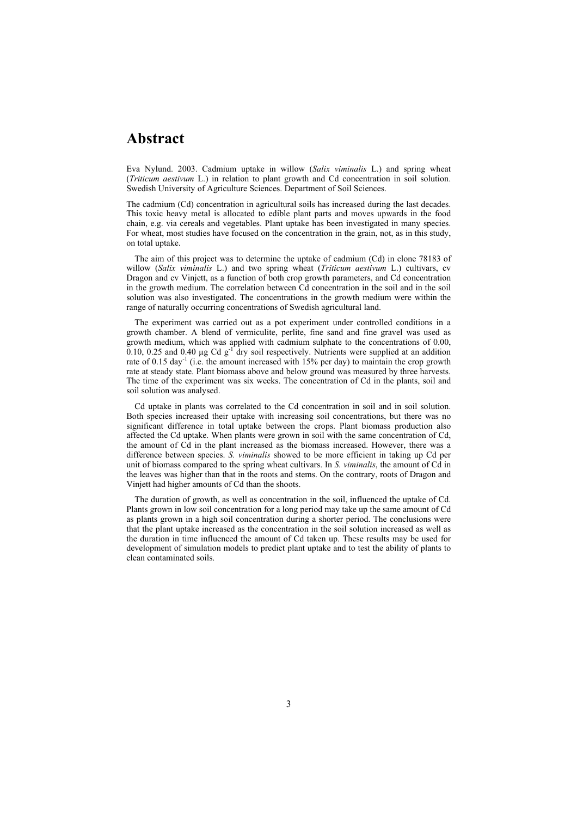### **Abstract**

Eva Nylund. 2003. Cadmium uptake in willow (*Salix viminalis* L.) and spring wheat (*Triticum aestivum* L.) in relation to plant growth and Cd concentration in soil solution. Swedish University of Agriculture Sciences. Department of Soil Sciences.

The cadmium (Cd) concentration in agricultural soils has increased during the last decades. This toxic heavy metal is allocated to edible plant parts and moves upwards in the food chain, e.g. via cereals and vegetables. Plant uptake has been investigated in many species. For wheat, most studies have focused on the concentration in the grain, not, as in this study, on total uptake.

The aim of this project was to determine the uptake of cadmium (Cd) in clone 78183 of willow (*Salix viminalis* L.) and two spring wheat (*Triticum aestivum* L.) cultivars, cv Dragon and cv Vinjett, as a function of both crop growth parameters, and Cd concentration in the growth medium. The correlation between Cd concentration in the soil and in the soil solution was also investigated. The concentrations in the growth medium were within the range of naturally occurring concentrations of Swedish agricultural land.

The experiment was carried out as a pot experiment under controlled conditions in a growth chamber. A blend of vermiculite, perlite, fine sand and fine gravel was used as growth medium, which was applied with cadmium sulphate to the concentrations of 0.00,  $0.10$ , 0.25 and 0.40 µg Cd  $g^{-1}$  dry soil respectively. Nutrients were supplied at an addition rate of 0.15 day<sup>-1</sup> (i.e. the amount increased with 15% per day) to maintain the crop growth rate at steady state. Plant biomass above and below ground was measured by three harvests. The time of the experiment was six weeks. The concentration of Cd in the plants, soil and soil solution was analysed.

Cd uptake in plants was correlated to the Cd concentration in soil and in soil solution. Both species increased their uptake with increasing soil concentrations, but there was no significant difference in total uptake between the crops. Plant biomass production also affected the Cd uptake. When plants were grown in soil with the same concentration of Cd, the amount of Cd in the plant increased as the biomass increased. However, there was a difference between species. *S. viminalis* showed to be more efficient in taking up Cd per unit of biomass compared to the spring wheat cultivars. In *S. viminalis*, the amount of Cd in the leaves was higher than that in the roots and stems. On the contrary, roots of Dragon and Vinjett had higher amounts of Cd than the shoots.

The duration of growth, as well as concentration in the soil, influenced the uptake of Cd. Plants grown in low soil concentration for a long period may take up the same amount of Cd as plants grown in a high soil concentration during a shorter period. The conclusions were that the plant uptake increased as the concentration in the soil solution increased as well as the duration in time influenced the amount of Cd taken up. These results may be used for development of simulation models to predict plant uptake and to test the ability of plants to clean contaminated soils.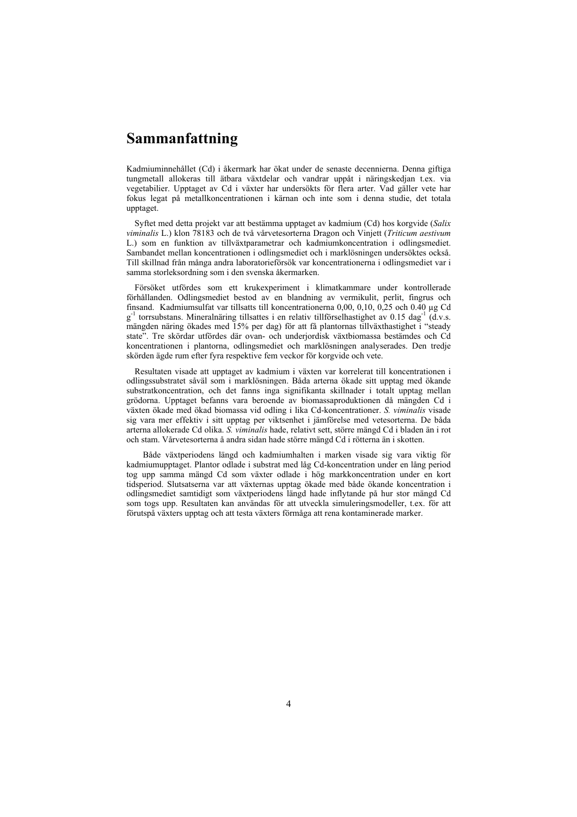# **Sammanfattning**

Kadmiuminnehållet (Cd) i åkermark har ökat under de senaste decennierna. Denna giftiga tungmetall allokeras till ätbara växtdelar och vandrar uppåt i näringskedjan t.ex. via vegetabilier. Upptaget av Cd i växter har undersökts för flera arter. Vad gäller vete har fokus legat på metallkoncentrationen i kärnan och inte som i denna studie, det totala upptaget.

Syftet med detta projekt var att bestämma upptaget av kadmium (Cd) hos korgvide (*Salix viminalis* L.) klon 78183 och de två vårvetesorterna Dragon och Vinjett (*Triticum aestivum* L.) som en funktion av tillväxtparametrar och kadmiumkoncentration i odlingsmediet. Sambandet mellan koncentrationen i odlingsmediet och i marklösningen undersöktes också. Till skillnad från många andra laboratorieförsök var koncentrationerna i odlingsmediet var i samma storleksordning som i den svenska åkermarken.

Försöket utfördes som ett krukexperiment i klimatkammare under kontrollerade förhållanden. Odlingsmediet bestod av en blandning av vermikulit, perlit, fingrus och finsand. Kadmiumsulfat var tillsatts till koncentrationerna 0,00, 0,10, 0,25 och 0.40 µg Cd  $g^{-1}$  torrsubstans. Mineralnäring tillsattes i en relativ tillförselhastighet av 0.15 dag<sup>-1</sup> (d.v.s. mängden näring ökades med 15% per dag) för att få plantornas tillväxthastighet i "steady state". Tre skördar utfördes där ovan- och underjordisk växtbiomassa bestämdes och Cd koncentrationen i plantorna, odlingsmediet och marklösningen analyserades. Den tredje skörden ägde rum efter fyra respektive fem veckor för korgvide och vete.

Resultaten visade att upptaget av kadmium i växten var korrelerat till koncentrationen i odlingssubstratet såväl som i marklösningen. Båda arterna ökade sitt upptag med ökande substratkoncentration, och det fanns inga signifikanta skillnader i totalt upptag mellan grödorna. Upptaget befanns vara beroende av biomassaproduktionen då mängden Cd i växten ökade med ökad biomassa vid odling i lika Cd-koncentrationer. *S. viminalis* visade sig vara mer effektiv i sitt upptag per viktsenhet i jämförelse med vetesorterna. De båda arterna allokerade Cd olika. *S. viminalis* hade, relativt sett, större mängd Cd i bladen än i rot och stam. Vårvetesorterna å andra sidan hade större mängd Cd i rötterna än i skotten.

 Både växtperiodens längd och kadmiumhalten i marken visade sig vara viktig för kadmiumupptaget. Plantor odlade i substrat med låg Cd-koncentration under en lång period tog upp samma mängd Cd som växter odlade i hög markkoncentration under en kort tidsperiod. Slutsatserna var att växternas upptag ökade med både ökande koncentration i odlingsmediet samtidigt som växtperiodens längd hade inflytande på hur stor mängd Cd som togs upp. Resultaten kan användas för att utveckla simuleringsmodeller, t.ex. för att förutspå växters upptag och att testa växters förmåga att rena kontaminerade marker.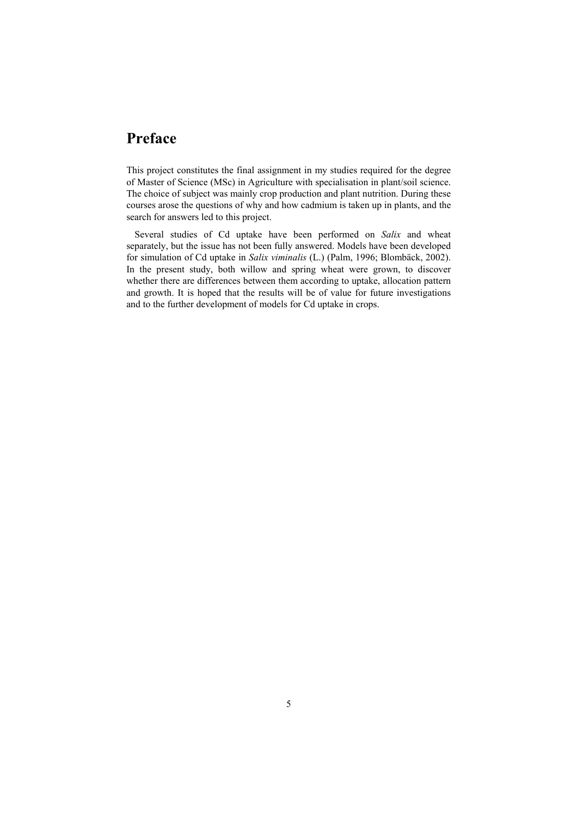# **Preface**

This project constitutes the final assignment in my studies required for the degree of Master of Science (MSc) in Agriculture with specialisation in plant/soil science. The choice of subject was mainly crop production and plant nutrition. During these courses arose the questions of why and how cadmium is taken up in plants, and the search for answers led to this project.

Several studies of Cd uptake have been performed on *Salix* and wheat separately, but the issue has not been fully answered. Models have been developed for simulation of Cd uptake in *Salix viminalis* (L.) (Palm, 1996; Blombäck, 2002). In the present study, both willow and spring wheat were grown, to discover whether there are differences between them according to uptake, allocation pattern and growth. It is hoped that the results will be of value for future investigations and to the further development of models for Cd uptake in crops.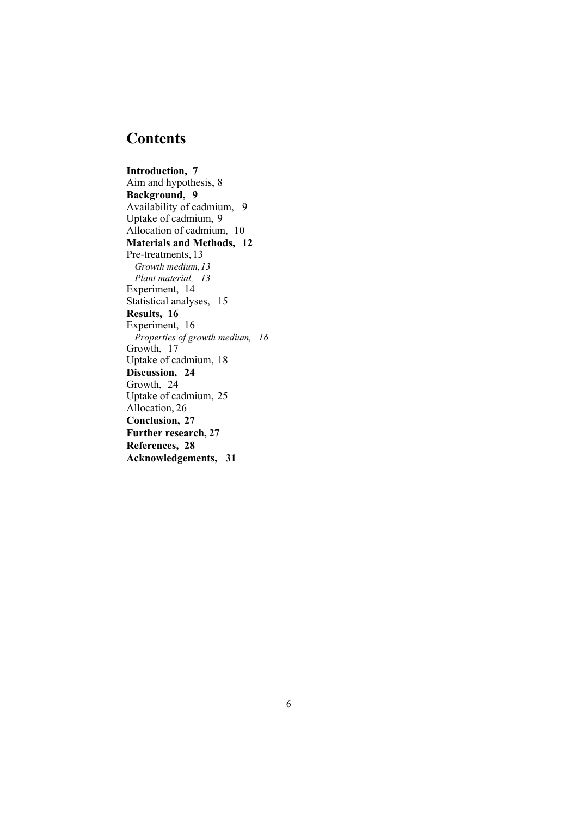# **Contents**

**Introduction, 7**  Aim and hypothesis, 8 **Background, 9**  Availability of cadmium, 9 Uptake of cadmium, 9 Allocation of cadmium, 10 **Materials and Methods, 12**  Pre-treatments, 13 *Growth medium, 13 Plant material, 13*  Experiment, 14 Statistical analyses, 15 **Results, 16**  Experiment, 16 *Properties of growth medium, 16*  Growth, 17 Uptake of cadmium, 18 **Discussion, 24**  Growth, 24 Uptake of cadmium, 25 Allocation, 26 **Conclusion, 27 Further research, 27 References, 28 Acknowledgements, 31**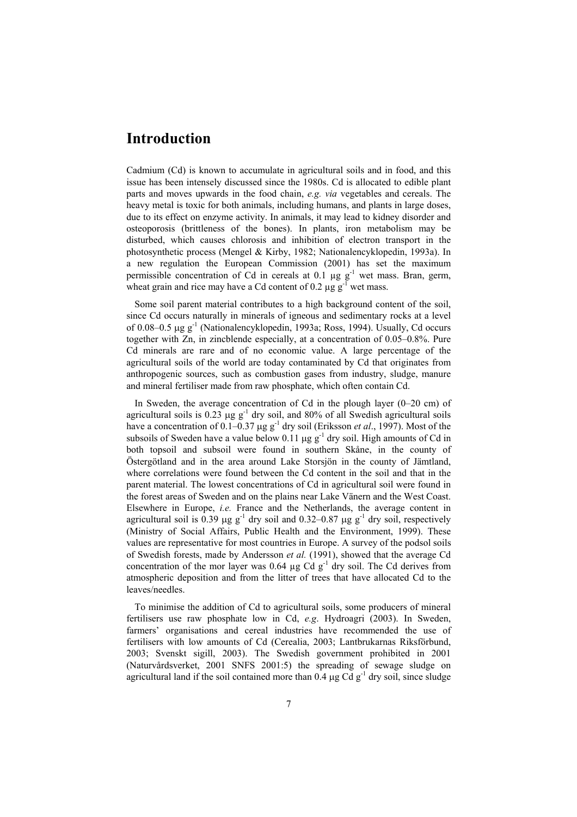### **Introduction**

Cadmium (Cd) is known to accumulate in agricultural soils and in food, and this issue has been intensely discussed since the 1980s. Cd is allocated to edible plant parts and moves upwards in the food chain, *e.g. via* vegetables and cereals. The heavy metal is toxic for both animals, including humans, and plants in large doses, due to its effect on enzyme activity. In animals, it may lead to kidney disorder and osteoporosis (brittleness of the bones). In plants, iron metabolism may be disturbed, which causes chlorosis and inhibition of electron transport in the photosynthetic process (Mengel & Kirby, 1982; Nationalencyklopedin, 1993a). In a new regulation the European Commission (2001) has set the maximum permissible concentration of Cd in cereals at 0.1  $\mu$ g g<sup>-1</sup> wet mass. Bran, germ, wheat grain and rice may have a Cd content of 0.2  $\mu$ g g<sup>-1</sup> wet mass.

Some soil parent material contributes to a high background content of the soil, since Cd occurs naturally in minerals of igneous and sedimentary rocks at a level of 0.08–0.5 µg g-1 (Nationalencyklopedin, 1993a; Ross, 1994). Usually, Cd occurs together with Zn, in zincblende especially, at a concentration of 0.05–0.8%. Pure Cd minerals are rare and of no economic value. A large percentage of the agricultural soils of the world are today contaminated by Cd that originates from anthropogenic sources, such as combustion gases from industry, sludge, manure and mineral fertiliser made from raw phosphate, which often contain Cd.

In Sweden, the average concentration of Cd in the plough layer (0–20 cm) of agricultural soils is 0.23  $\mu$ g g<sup>-1</sup> dry soil, and 80% of all Swedish agricultural soils have a concentration of  $0.1-0.37 \mu g g^{-1}$  dry soil (Eriksson *et al.*, 1997). Most of the subsoils of Sweden have a value below 0.11  $\mu$ g g<sup>-1</sup> dry soil. High amounts of Cd in both topsoil and subsoil were found in southern Skåne, in the county of Östergötland and in the area around Lake Storsjön in the county of Jämtland, where correlations were found between the Cd content in the soil and that in the parent material. The lowest concentrations of Cd in agricultural soil were found in the forest areas of Sweden and on the plains near Lake Vänern and the West Coast. Elsewhere in Europe, *i.e.* France and the Netherlands, the average content in agricultural soil is 0.39  $\mu$ g g<sup>-1</sup> dry soil and 0.32–0.87  $\mu$ g g<sup>-1</sup> dry soil, respectively (Ministry of Social Affairs, Public Health and the Environment, 1999). These values are representative for most countries in Europe. A survey of the podsol soils of Swedish forests, made by Andersson *et al.* (1991), showed that the average Cd concentration of the mor layer was  $0.64 \mu g$  Cd  $g^{-1}$  dry soil. The Cd derives from atmospheric deposition and from the litter of trees that have allocated Cd to the leaves/needles.

To minimise the addition of Cd to agricultural soils, some producers of mineral fertilisers use raw phosphate low in Cd, *e.g*. Hydroagri (2003). In Sweden, farmers' organisations and cereal industries have recommended the use of fertilisers with low amounts of Cd (Cerealia, 2003; Lantbrukarnas Riksförbund, 2003; Svenskt sigill, 2003). The Swedish government prohibited in 2001 (Naturvårdsverket, 2001 SNFS 2001:5) the spreading of sewage sludge on agricultural land if the soil contained more than 0.4  $\mu$ g Cd g<sup>-1</sup> dry soil, since sludge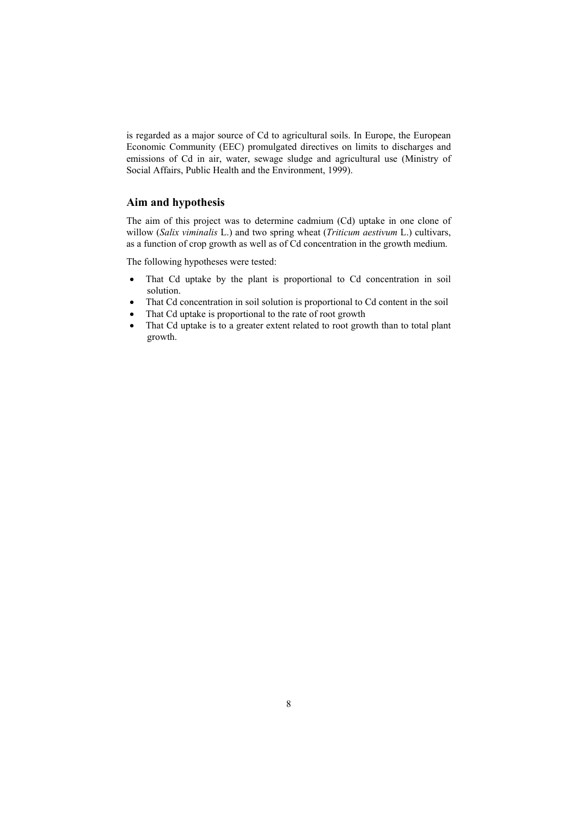is regarded as a major source of Cd to agricultural soils. In Europe, the European Economic Community (EEC) promulgated directives on limits to discharges and emissions of Cd in air, water, sewage sludge and agricultural use (Ministry of Social Affairs, Public Health and the Environment, 1999).

### **Aim and hypothesis**

The aim of this project was to determine cadmium (Cd) uptake in one clone of willow (*Salix viminalis* L.) and two spring wheat (*Triticum aestivum* L.) cultivars, as a function of crop growth as well as of Cd concentration in the growth medium.

The following hypotheses were tested:

- That Cd uptake by the plant is proportional to Cd concentration in soil solution.
- That Cd concentration in soil solution is proportional to Cd content in the soil
- That Cd uptake is proportional to the rate of root growth
- That Cd uptake is to a greater extent related to root growth than to total plant growth.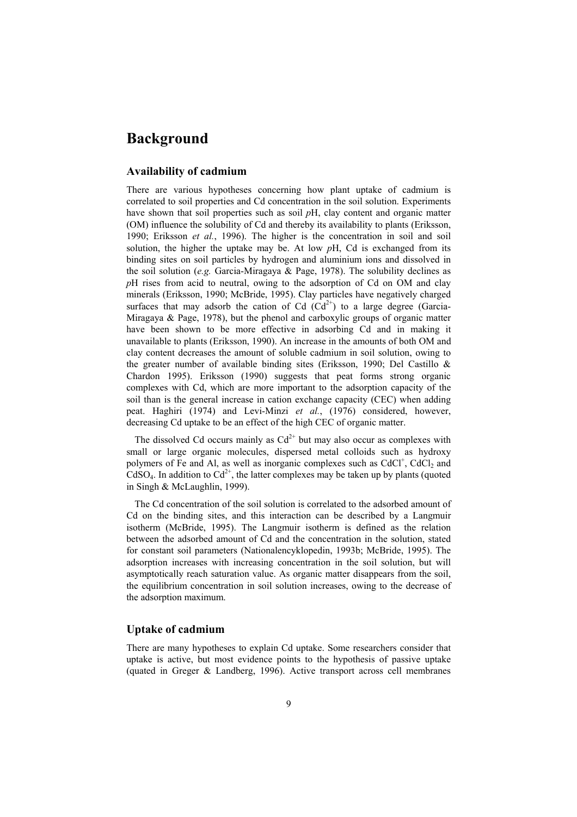### **Background**

### **Availability of cadmium**

There are various hypotheses concerning how plant uptake of cadmium is correlated to soil properties and Cd concentration in the soil solution. Experiments have shown that soil properties such as soil *p*H, clay content and organic matter (OM) influence the solubility of Cd and thereby its availability to plants (Eriksson, 1990; Eriksson *et al.*, 1996). The higher is the concentration in soil and soil solution, the higher the uptake may be. At low *p*H, Cd is exchanged from its binding sites on soil particles by hydrogen and aluminium ions and dissolved in the soil solution (*e.g.* Garcia-Miragaya & Page, 1978). The solubility declines as *p*H rises from acid to neutral, owing to the adsorption of Cd on OM and clay minerals (Eriksson, 1990; McBride, 1995). Clay particles have negatively charged surfaces that may adsorb the cation of Cd  $(Cd^{2+})$  to a large degree (Garcia-Miragaya & Page, 1978), but the phenol and carboxylic groups of organic matter have been shown to be more effective in adsorbing Cd and in making it unavailable to plants (Eriksson, 1990). An increase in the amounts of both OM and clay content decreases the amount of soluble cadmium in soil solution, owing to the greater number of available binding sites (Eriksson, 1990; Del Castillo & Chardon 1995). Eriksson (1990) suggests that peat forms strong organic complexes with Cd, which are more important to the adsorption capacity of the soil than is the general increase in cation exchange capacity (CEC) when adding peat. Haghiri (1974) and Levi-Minzi *et al.*, (1976) considered, however, decreasing Cd uptake to be an effect of the high CEC of organic matter.

The dissolved Cd occurs mainly as  $Cd^{2+}$  but may also occur as complexes with small or large organic molecules, dispersed metal colloids such as hydroxy polymers of Fe and Al, as well as inorganic complexes such as CdCl<sup>+</sup>, CdCl<sub>2</sub> and  $C dSO<sub>4</sub>$ . In addition to  $Cd<sup>2+</sup>$ , the latter complexes may be taken up by plants (quoted in Singh & McLaughlin, 1999).

The Cd concentration of the soil solution is correlated to the adsorbed amount of Cd on the binding sites, and this interaction can be described by a Langmuir isotherm (McBride, 1995). The Langmuir isotherm is defined as the relation between the adsorbed amount of Cd and the concentration in the solution, stated for constant soil parameters (Nationalencyklopedin, 1993b; McBride, 1995). The adsorption increases with increasing concentration in the soil solution, but will asymptotically reach saturation value. As organic matter disappears from the soil, the equilibrium concentration in soil solution increases, owing to the decrease of the adsorption maximum.

### **Uptake of cadmium**

There are many hypotheses to explain Cd uptake. Some researchers consider that uptake is active, but most evidence points to the hypothesis of passive uptake (quated in Greger & Landberg, 1996). Active transport across cell membranes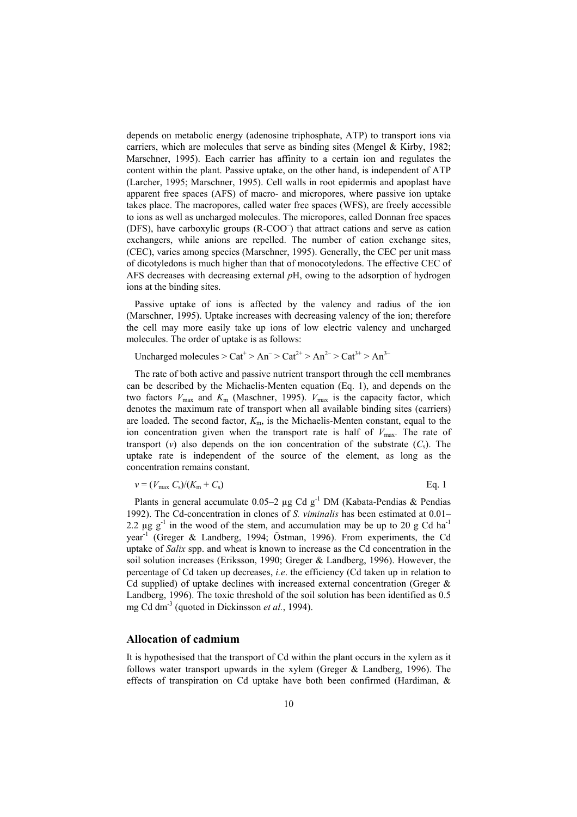depends on metabolic energy (adenosine triphosphate, ATP) to transport ions via carriers, which are molecules that serve as binding sites (Mengel  $\&$  Kirby, 1982; Marschner, 1995). Each carrier has affinity to a certain ion and regulates the content within the plant. Passive uptake, on the other hand, is independent of ATP (Larcher, 1995; Marschner, 1995). Cell walls in root epidermis and apoplast have apparent free spaces (AFS) of macro- and micropores, where passive ion uptake takes place. The macropores, called water free spaces (WFS), are freely accessible to ions as well as uncharged molecules. The micropores, called Donnan free spaces (DFS), have carboxylic groups (R-COO<sup>-</sup>) that attract cations and serve as cation exchangers, while anions are repelled. The number of cation exchange sites, (CEC), varies among species (Marschner, 1995). Generally, the CEC per unit mass of dicotyledons is much higher than that of monocotyledons. The effective CEC of AFS decreases with decreasing external *p*H, owing to the adsorption of hydrogen ions at the binding sites.

Passive uptake of ions is affected by the valency and radius of the ion (Marschner, 1995). Uptake increases with decreasing valency of the ion; therefore the cell may more easily take up ions of low electric valency and uncharged molecules. The order of uptake is as follows:

Uncharged molecules  $>$  Cat<sup>+</sup>  $>$  An<sup>-</sup>  $>$  Cat<sup>2+</sup>  $>$  An<sup>2-</sup> $>$  Cat<sup>3+</sup>  $>$  An<sup>3-</sup>

The rate of both active and passive nutrient transport through the cell membranes can be described by the Michaelis-Menten equation (Eq. 1), and depends on the two factors  $V_{\text{max}}$  and  $K_{\text{m}}$  (Maschner, 1995).  $V_{\text{max}}$  is the capacity factor, which denotes the maximum rate of transport when all available binding sites (carriers) are loaded. The second factor,  $K<sub>m</sub>$ , is the Michaelis-Menten constant, equal to the ion concentration given when the transport rate is half of  $V_{\text{max}}$ . The rate of transport (*v*) also depends on the ion concentration of the substrate  $(C_s)$ . The uptake rate is independent of the source of the element, as long as the concentration remains constant.

$$
v = (V_{\text{max}} C_s) / (K_{\text{m}} + C_s) \tag{Eq. 1}
$$

Plants in general accumulate  $0.05-2 \mu g C d g^{-1} DM$  (Kabata-Pendias & Pendias 1992). The Cd-concentration in clones of *S. viminalis* has been estimated at 0.01– 2.2  $\mu$ g g<sup>-1</sup> in the wood of the stem, and accumulation may be up to 20 g Cd ha<sup>-1</sup> year-1 (Greger & Landberg, 1994; Östman, 1996). From experiments, the Cd uptake of *Salix* spp. and wheat is known to increase as the Cd concentration in the soil solution increases (Eriksson, 1990; Greger & Landberg, 1996). However, the percentage of Cd taken up decreases, *i.e*. the efficiency (Cd taken up in relation to Cd supplied) of uptake declines with increased external concentration (Greger & Landberg, 1996). The toxic threshold of the soil solution has been identified as 0.5 mg Cd dm<sup>-3</sup> (quoted in Dickinsson *et al.*, 1994).

### **Allocation of cadmium**

It is hypothesised that the transport of Cd within the plant occurs in the xylem as it follows water transport upwards in the xylem (Greger & Landberg, 1996). The effects of transpiration on Cd uptake have both been confirmed (Hardiman, &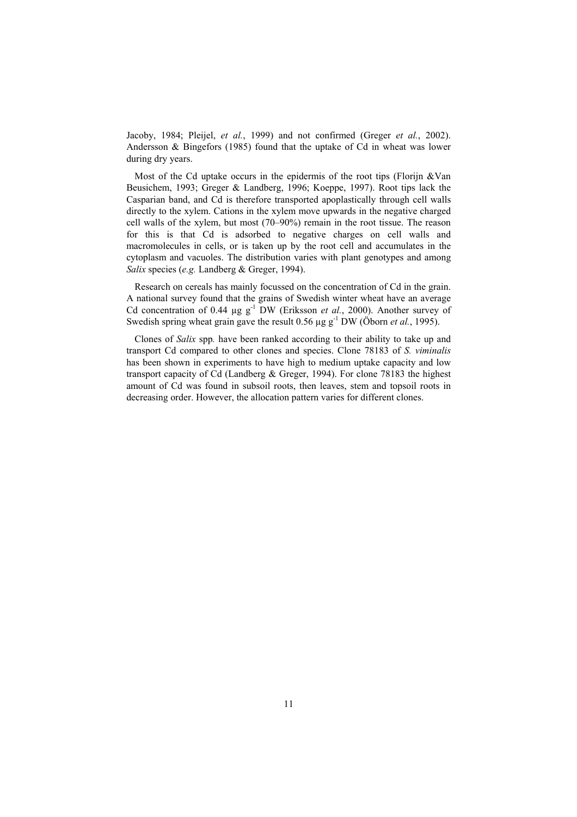Jacoby, 1984; Pleijel, *et al.*, 1999) and not confirmed (Greger *et al.*, 2002). Andersson & Bingefors (1985) found that the uptake of Cd in wheat was lower during dry years.

Most of the Cd uptake occurs in the epidermis of the root tips (Florijn &Van Beusichem, 1993; Greger & Landberg, 1996; Koeppe, 1997). Root tips lack the Casparian band, and Cd is therefore transported apoplastically through cell walls directly to the xylem. Cations in the xylem move upwards in the negative charged cell walls of the xylem, but most (70–90%) remain in the root tissue. The reason for this is that Cd is adsorbed to negative charges on cell walls and macromolecules in cells, or is taken up by the root cell and accumulates in the cytoplasm and vacuoles. The distribution varies with plant genotypes and among *Salix* species (*e.g.* Landberg & Greger, 1994).

 Research on cereals has mainly focussed on the concentration of Cd in the grain. A national survey found that the grains of Swedish winter wheat have an average Cd concentration of 0.44  $\mu$ g g<sup>-1</sup> DW (Eriksson *et al.*, 2000). Another survey of Swedish spring wheat grain gave the result  $0.56 \mu g g^{-1}$  DW (Öborn *et al.*, 1995).

Clones of *Salix* spp*.* have been ranked according to their ability to take up and transport Cd compared to other clones and species. Clone 78183 of *S. viminalis*  has been shown in experiments to have high to medium uptake capacity and low transport capacity of Cd (Landberg & Greger, 1994). For clone 78183 the highest amount of Cd was found in subsoil roots, then leaves, stem and topsoil roots in decreasing order. However, the allocation pattern varies for different clones.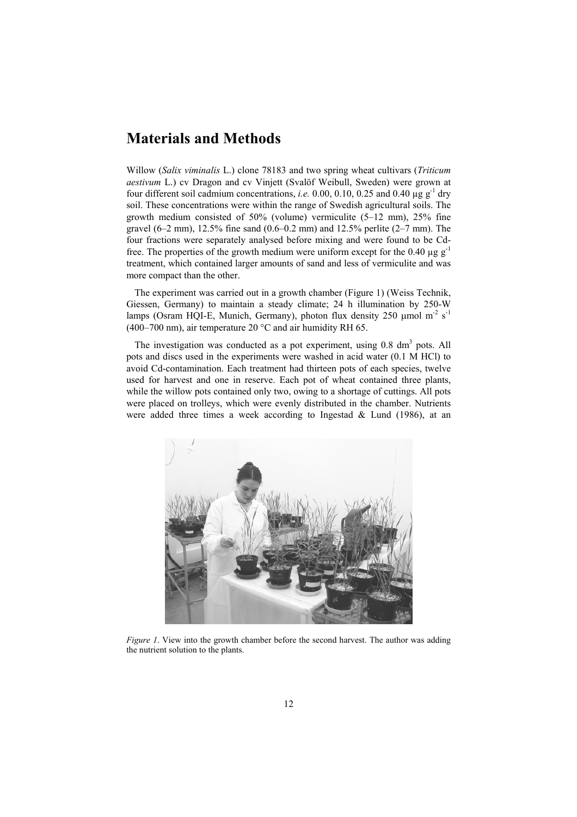# **Materials and Methods**

Willow (*Salix viminalis* L.) clone 78183 and two spring wheat cultivars (*Triticum aestivum* L.) cv Dragon and cv Vinjett (Svalöf Weibull, Sweden) were grown at four different soil cadmium concentrations, *i.e.* 0.00, 0.10, 0.25 and 0.40  $\mu$ g g<sup>-1</sup> dry soil. These concentrations were within the range of Swedish agricultural soils. The growth medium consisted of 50% (volume) vermiculite (5–12 mm), 25% fine gravel  $(6-2 \text{ mm})$ , 12.5% fine sand  $(0.6-0.2 \text{ mm})$  and 12.5% perlite  $(2-7 \text{ mm})$ . The four fractions were separately analysed before mixing and were found to be Cdfree. The properties of the growth medium were uniform except for the 0.40  $\mu$ g g<sup>-1</sup> treatment, which contained larger amounts of sand and less of vermiculite and was more compact than the other.

The experiment was carried out in a growth chamber (Figure 1) (Weiss Technik, Giessen, Germany) to maintain a steady climate; 24 h illumination by 250-W lamps (Osram HQI-E, Munich, Germany), photon flux density 250  $\mu$ mol m<sup>-2</sup> s<sup>-1</sup> (400–700 nm), air temperature 20 °C and air humidity RH 65.

The investigation was conducted as a pot experiment, using  $0.8 \text{ dm}^3$  pots. All pots and discs used in the experiments were washed in acid water (0.1 M HCl) to avoid Cd-contamination. Each treatment had thirteen pots of each species, twelve used for harvest and one in reserve. Each pot of wheat contained three plants, while the willow pots contained only two, owing to a shortage of cuttings. All pots were placed on trolleys, which were evenly distributed in the chamber. Nutrients were added three times a week according to Ingestad & Lund (1986), at an



*Figure 1*. View into the growth chamber before the second harvest. The author was adding the nutrient solution to the plants.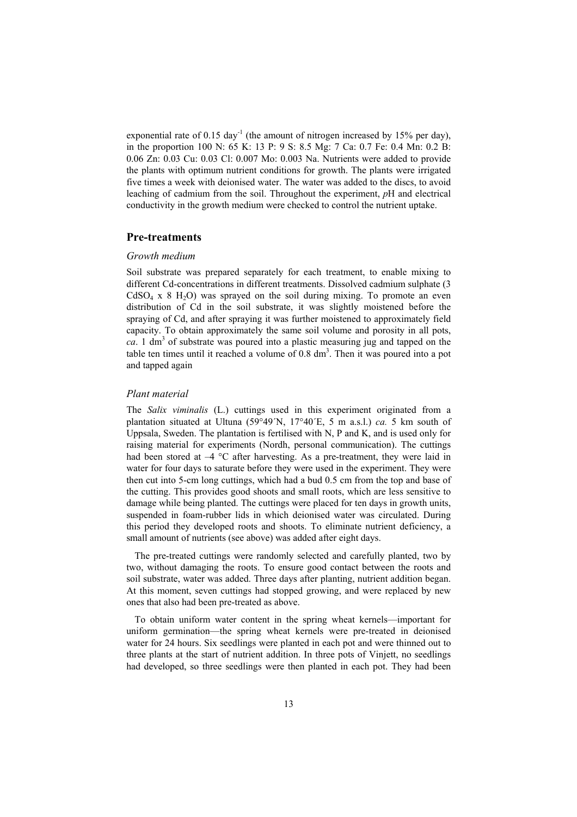exponential rate of 0.15 day<sup>-1</sup> (the amount of nitrogen increased by 15% per day), in the proportion 100 N: 65 K: 13 P: 9 S: 8.5 Mg: 7 Ca: 0.7 Fe: 0.4 Mn: 0.2 B: 0.06 Zn: 0.03 Cu: 0.03 Cl: 0.007 Mo: 0.003 Na. Nutrients were added to provide the plants with optimum nutrient conditions for growth. The plants were irrigated five times a week with deionised water. The water was added to the discs, to avoid leaching of cadmium from the soil. Throughout the experiment, *p*H and electrical conductivity in the growth medium were checked to control the nutrient uptake.

#### **Pre-treatments**

#### *Growth medium*

Soil substrate was prepared separately for each treatment, to enable mixing to different Cd-concentrations in different treatments. Dissolved cadmium sulphate (3  $CdSO<sub>4</sub>$  x 8 H<sub>2</sub>O) was sprayed on the soil during mixing. To promote an even distribution of Cd in the soil substrate, it was slightly moistened before the spraying of Cd, and after spraying it was further moistened to approximately field capacity. To obtain approximately the same soil volume and porosity in all pots,  $ca$ . 1 dm<sup>3</sup> of substrate was poured into a plastic measuring jug and tapped on the table ten times until it reached a volume of  $0.8 \text{ dm}^3$ . Then it was poured into a pot and tapped again

#### *Plant material*

The *Salix viminalis* (L.) cuttings used in this experiment originated from a plantation situated at Ultuna (59°49´N, 17°40´E, 5 m a.s.l.) *ca.* 5 km south of Uppsala, Sweden. The plantation is fertilised with N, P and K, and is used only for raising material for experiments (Nordh, personal communication). The cuttings had been stored at  $-4$  °C after harvesting. As a pre-treatment, they were laid in water for four days to saturate before they were used in the experiment. They were then cut into 5-cm long cuttings, which had a bud 0.5 cm from the top and base of the cutting. This provides good shoots and small roots, which are less sensitive to damage while being planted. The cuttings were placed for ten days in growth units, suspended in foam-rubber lids in which deionised water was circulated. During this period they developed roots and shoots. To eliminate nutrient deficiency, a small amount of nutrients (see above) was added after eight days.

The pre-treated cuttings were randomly selected and carefully planted, two by two, without damaging the roots. To ensure good contact between the roots and soil substrate, water was added. Three days after planting, nutrient addition began. At this moment, seven cuttings had stopped growing, and were replaced by new ones that also had been pre-treated as above.

To obtain uniform water content in the spring wheat kernels—important for uniform germination—the spring wheat kernels were pre-treated in deionised water for 24 hours. Six seedlings were planted in each pot and were thinned out to three plants at the start of nutrient addition. In three pots of Vinjett, no seedlings had developed, so three seedlings were then planted in each pot. They had been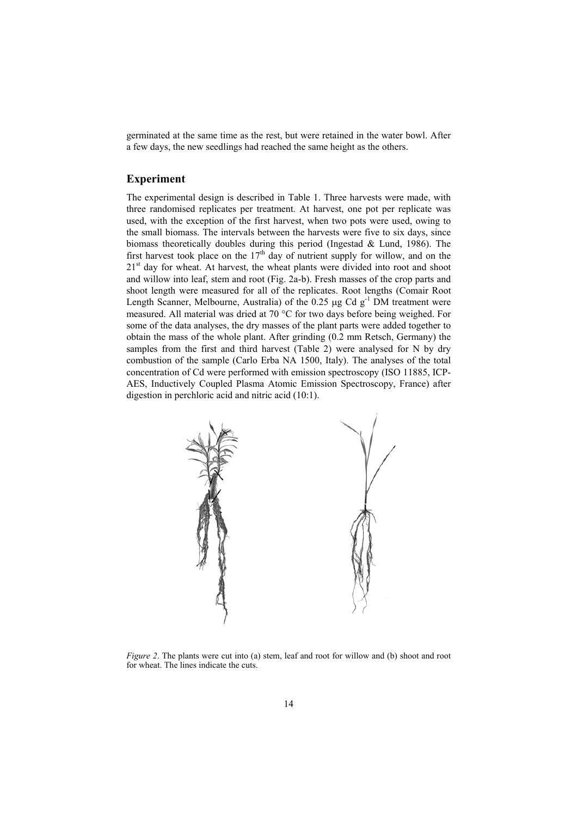germinated at the same time as the rest, but were retained in the water bowl. After a few days, the new seedlings had reached the same height as the others.

### **Experiment**

The experimental design is described in Table 1. Three harvests were made, with three randomised replicates per treatment. At harvest, one pot per replicate was used, with the exception of the first harvest, when two pots were used, owing to the small biomass. The intervals between the harvests were five to six days, since biomass theoretically doubles during this period (Ingestad & Lund, 1986). The first harvest took place on the  $17<sup>th</sup>$  day of nutrient supply for willow, and on the 21<sup>st</sup> day for wheat. At harvest, the wheat plants were divided into root and shoot and willow into leaf, stem and root (Fig. 2a-b). Fresh masses of the crop parts and shoot length were measured for all of the replicates. Root lengths (Comair Root Length Scanner, Melbourne, Australia) of the 0.25  $\mu$ g Cd g<sup>-1</sup> DM treatment were measured. All material was dried at 70 °C for two days before being weighed. For some of the data analyses, the dry masses of the plant parts were added together to obtain the mass of the whole plant. After grinding (0.2 mm Retsch, Germany) the samples from the first and third harvest (Table 2) were analysed for N by dry combustion of the sample (Carlo Erba NA 1500, Italy). The analyses of the total concentration of Cd were performed with emission spectroscopy (ISO 11885, ICP-AES, Inductively Coupled Plasma Atomic Emission Spectroscopy, France) after digestion in perchloric acid and nitric acid (10:1).



*Figure 2*. The plants were cut into (a) stem, leaf and root for willow and (b) shoot and root for wheat. The lines indicate the cuts.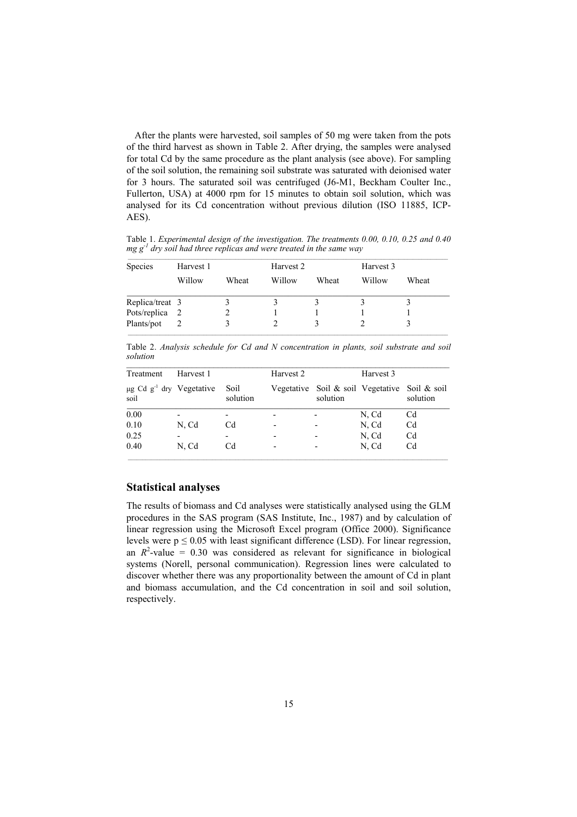After the plants were harvested, soil samples of 50 mg were taken from the pots of the third harvest as shown in Table 2. After drying, the samples were analysed for total Cd by the same procedure as the plant analysis (see above). For sampling of the soil solution, the remaining soil substrate was saturated with deionised water for 3 hours. The saturated soil was centrifuged (J6-M1, Beckham Coulter Inc., Fullerton, USA) at 4000 rpm for 15 minutes to obtain soil solution, which was analysed for its Cd concentration without previous dilution (ISO 11885, ICP-AES).

Table 1. *Experimental design of the investigation. The treatments 0.00, 0.10, 0.25 and 0.40 mg g<sup>-1</sup> dry soil had three replicas and were treated in the same way* 

| <b>Species</b>  | Harvest 1 |       | Harvest 2 |       | Harvest 3 |       |  |  |
|-----------------|-----------|-------|-----------|-------|-----------|-------|--|--|
|                 | Willow    | Wheat | Willow    | Wheat | Willow    | Wheat |  |  |
| Replica/treat 3 |           |       |           |       |           |       |  |  |
| Pots/replica 2  |           |       |           |       |           |       |  |  |
| Plants/pot      |           | 3     |           |       |           |       |  |  |

Table 2. *Analysis schedule for Cd and N concentration in plants, soil substrate and soil solution*   $\mathcal{L} = \{ \mathcal{L} = \{ \mathcal{L} = \{ \mathcal{L} = \{ \mathcal{L} = \{ \mathcal{L} = \{ \mathcal{L} = \{ \mathcal{L} = \{ \mathcal{L} = \{ \mathcal{L} = \{ \mathcal{L} = \{ \mathcal{L} = \{ \mathcal{L} = \{ \mathcal{L} = \{ \mathcal{L} = \{ \mathcal{L} = \{ \mathcal{L} = \{ \mathcal{L} = \{ \mathcal{L} = \{ \mathcal{L} = \{ \mathcal{L} = \{ \mathcal{L} = \{ \mathcal{L} = \{ \mathcal{L} = \{ \mathcal{$ 

| Treatment                                         | Harvest 1 |                          | Harvest 2                |          | Harvest 3                                     |                |
|---------------------------------------------------|-----------|--------------------------|--------------------------|----------|-----------------------------------------------|----------------|
| $\mu$ g Cd g <sup>-1</sup> dry Vegetative<br>soil |           | Soil<br>solution         |                          | solution | Vegetative Soil & soil Vegetative Soil & soil | solution       |
| 0.00                                              | ٠         | $\overline{\phantom{0}}$ | $\overline{\phantom{0}}$ |          | N, Cd                                         | Cd             |
| 0.10                                              | N, Cd     | Cd                       | $\overline{\phantom{0}}$ |          | N, Cd                                         | C <sub>d</sub> |
| 0.25                                              | -         |                          | $\overline{\phantom{a}}$ |          | N, Cd                                         | C <sub>d</sub> |
| 0.40                                              | N, Cd     | Cd                       | -                        |          | N, Cd                                         | C <sub>d</sub> |

### **Statistical analyses**

The results of biomass and Cd analyses were statistically analysed using the GLM procedures in the SAS program (SAS Institute, Inc., 1987) and by calculation of linear regression using the Microsoft Excel program (Office 2000). Significance levels were  $p \le 0.05$  with least significant difference (LSD). For linear regression, an  $R^2$ -value = 0.30 was considered as relevant for significance in biological systems (Norell, personal communication). Regression lines were calculated to discover whether there was any proportionality between the amount of Cd in plant and biomass accumulation, and the Cd concentration in soil and soil solution, respectively.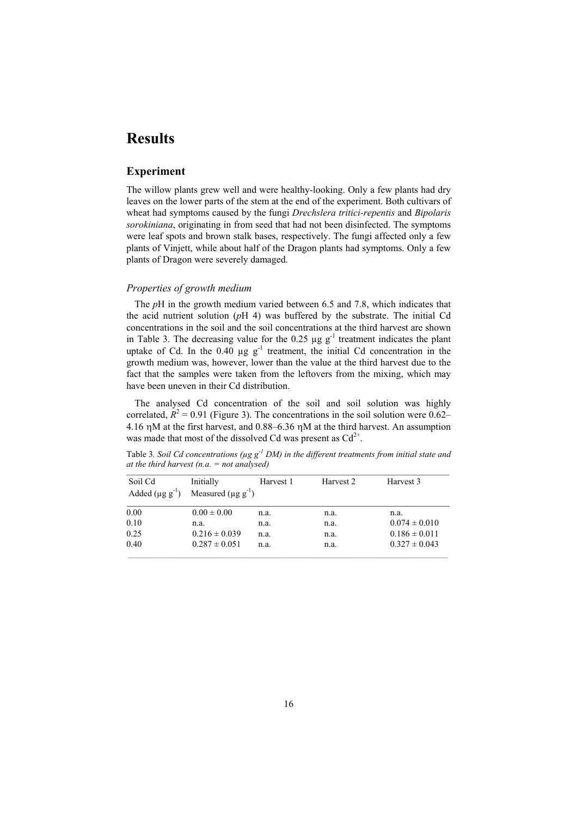# **Results**

### **Experiment**

The willow plants grew well and were healthy-looking. Only a few plants had dry leaves on the lower parts of the stem at the end of the experiment. Both cultivars of wheat had symptoms caused by the fungi *Drechslera tritici-repentis* and *Bipolaris sorokiniana*, originating in from seed that had not been disinfected. The symptoms were leaf spots and brown stalk bases, respectively. The fungi affected only a few plants of Vinjett, while about half of the Dragon plants had symptoms. Only a few plants of Dragon were severely damaged.

#### *Properties of growth medium*

The *p*H in the growth medium varied between 6.5 and 7.8, which indicates that the acid nutrient solution (*p*H 4) was buffered by the substrate. The initial Cd concentrations in the soil and the soil concentrations at the third harvest are shown in Table 3. The decreasing value for the  $0.25 \mu g g^{-1}$  treatment indicates the plant uptake of Cd. In the  $0.40 \mu g g^{-1}$  treatment, the initial Cd concentration in the growth medium was, however, lower than the value at the third harvest due to the fact that the samples were taken from the leftovers from the mixing, which may have been uneven in their Cd distribution.

The analysed Cd concentration of the soil and soil solution was highly correlated,  $R^2 = 0.91$  (Figure 3). The concentrations in the soil solution were 0.62– 4.16 ηM at the first harvest, and 0.88–6.36 ηM at the third harvest. An assumption was made that most of the dissolved Cd was present as  $Cd^{2+}$ .

Table 3*. Soil Cd concentrations (µg g-1 DM) in the different treatments from initial state and at the third harvest (n.a. = not analysed)*   $\mathcal{L}$  and  $\mathcal{L}$  and  $\mathcal{L}$  and  $\mathcal{L}$  and  $\mathcal{L}$  and  $\mathcal{L}$  and  $\mathcal{L}$  and  $\mathcal{L}$  and  $\mathcal{L}$  and  $\mathcal{L}$  and  $\mathcal{L}$  and  $\mathcal{L}$  and  $\mathcal{L}$  and  $\mathcal{L}$  and  $\mathcal{L}$  and  $\mathcal{L}$  and  $\mathcal{L}$  and

| Soil Cd<br>Added $(\mu g g^{-1})$ | Initially<br>Measured $(\mu g g^{-1})$ | Harvest 1 | Harvest 2 | Harvest 3         |
|-----------------------------------|----------------------------------------|-----------|-----------|-------------------|
| 0.00                              | $0.00 \pm 0.00$                        | n.a.      | n.a.      | n.a.              |
| 0.10                              | n.a.                                   | n.a.      | n.a.      | $0.074 \pm 0.010$ |
| 0.25                              | $0.216 \pm 0.039$                      | n.a.      | n.a.      | $0.186 \pm 0.011$ |
| 0.40                              | $0.287 \pm 0.051$                      | n.a.      | n.a.      | $0.327 \pm 0.043$ |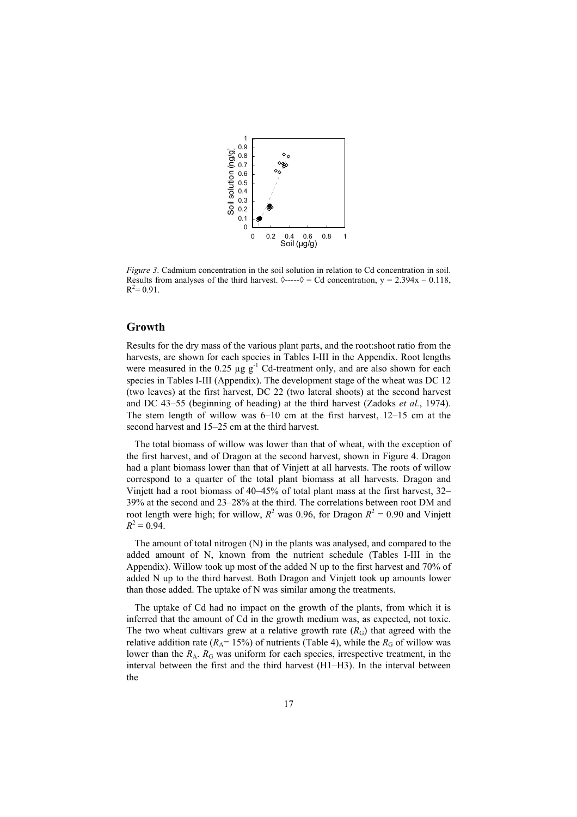

*Figure 3*. Cadmium concentration in the soil solution in relation to Cd concentration in soil. Results from analyses of the third harvest.  $\Diamond$ ---- $\Diamond$  = Cd concentration, y = 2.394x – 0.118,  $R^2 = 0.91$ .

### **Growth**

Results for the dry mass of the various plant parts, and the root:shoot ratio from the harvests, are shown for each species in Tables I-III in the Appendix. Root lengths were measured in the 0.25  $\mu$ g g<sup>-1</sup> Cd-treatment only, and are also shown for each species in Tables I-III (Appendix). The development stage of the wheat was DC 12 (two leaves) at the first harvest, DC 22 (two lateral shoots) at the second harvest and DC 43–55 (beginning of heading) at the third harvest (Zadoks *et al.*, 1974). The stem length of willow was 6–10 cm at the first harvest, 12–15 cm at the second harvest and 15–25 cm at the third harvest.

The total biomass of willow was lower than that of wheat, with the exception of the first harvest, and of Dragon at the second harvest, shown in Figure 4. Dragon had a plant biomass lower than that of Vinjett at all harvests. The roots of willow correspond to a quarter of the total plant biomass at all harvests. Dragon and Vinjett had a root biomass of 40–45% of total plant mass at the first harvest, 32– 39% at the second and 23–28% at the third. The correlations between root DM and root length were high; for willow,  $R^2$  was 0.96, for Dragon  $R^2 = 0.90$  and Vinjett  $R^2 = 0.94$ .

The amount of total nitrogen (N) in the plants was analysed, and compared to the added amount of N, known from the nutrient schedule (Tables I-III in the Appendix). Willow took up most of the added N up to the first harvest and 70% of added N up to the third harvest. Both Dragon and Vinjett took up amounts lower than those added. The uptake of N was similar among the treatments.

The uptake of Cd had no impact on the growth of the plants, from which it is inferred that the amount of Cd in the growth medium was, as expected, not toxic. The two wheat cultivars grew at a relative growth rate  $(R_G)$  that agreed with the relative addition rate ( $R_A$ = 15%) of nutrients (Table 4), while the  $R_G$  of willow was lower than the  $R_A$ .  $R_G$  was uniform for each species, irrespective treatment, in the interval between the first and the third harvest (H1–H3). In the interval between the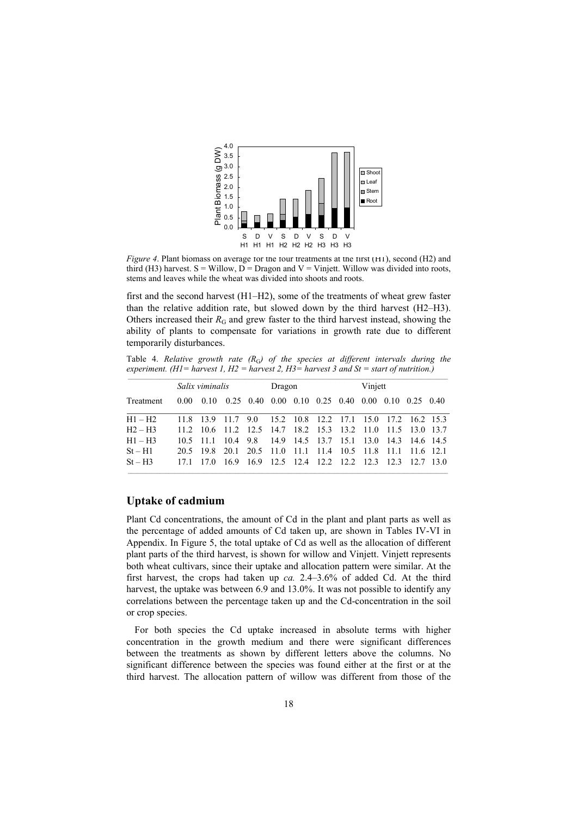

*Figure 4.* Plant biomass on average for the four treatments at the first (H1), second (H2) and third (H3) harvest.  $S =$  Willow,  $D =$  Dragon and  $V =$  Vinjett. Willow was divided into roots, stems and leaves while the wheat was divided into shoots and roots.

first and the second harvest (H1–H2), some of the treatments of wheat grew faster than the relative addition rate, but slowed down by the third harvest (H2–H3). Others increased their  $R_G$  and grew faster to the third harvest instead, showing the ability of plants to compensate for variations in growth rate due to different temporarily disturbances.

Table 4. *Relative growth rate (R*G*) of the species at different intervals during the experiment. (H1= harvest 1, H2 = harvest 2, H3= harvest 3 and St = start of nutrition.)*

|           | Salix viminalis |  |                                                                                                                                 | Dragon |  |  | Vinjett |  |  |  |
|-----------|-----------------|--|---------------------------------------------------------------------------------------------------------------------------------|--------|--|--|---------|--|--|--|
| Treatment |                 |  | $0.00 \quad 0.10 \quad 0.25 \quad 0.40 \quad 0.00 \quad 0.10 \quad 0.25 \quad 0.40 \quad 0.00 \quad 0.10 \quad 0.25 \quad 0.40$ |        |  |  |         |  |  |  |
| $H1 - H2$ |                 |  | 11.8 13.9 11.7 9.0 15.2 10.8 12.2 17.1 15.0 17.2 16.2 15.3                                                                      |        |  |  |         |  |  |  |
| $H2-H3$   |                 |  | 11.2 10.6 11.2 12.5 14.7 18.2 15.3 13.2 11.0 11.5 13.0 13.7                                                                     |        |  |  |         |  |  |  |
| $H1 - H3$ |                 |  | 10.5 11.1 10.4 9.8 14.9 14.5 13.7 15.1 13.0 14.3 14.6 14.5                                                                      |        |  |  |         |  |  |  |
| $St-H1$   |                 |  | 20.5 19.8 20.1 20.5 11.0 11.1 11.4 10.5 11.8 11.1 11.6 12.1                                                                     |        |  |  |         |  |  |  |
| $St-H3$   |                 |  | 17.1 17.0 16.9 16.9 12.5 12.4 12.2 12.2 12.3 12.3 12.7 13.0                                                                     |        |  |  |         |  |  |  |

### **Uptake of cadmium**

Plant Cd concentrations, the amount of Cd in the plant and plant parts as well as the percentage of added amounts of Cd taken up, are shown in Tables IV-VI in Appendix. In Figure 5, the total uptake of Cd as well as the allocation of different plant parts of the third harvest, is shown for willow and Vinjett. Vinjett represents both wheat cultivars, since their uptake and allocation pattern were similar. At the first harvest, the crops had taken up *ca.* 2.4–3.6% of added Cd. At the third harvest, the uptake was between 6.9 and 13.0%. It was not possible to identify any correlations between the percentage taken up and the Cd-concentration in the soil or crop species.

For both species the Cd uptake increased in absolute terms with higher concentration in the growth medium and there were significant differences between the treatments as shown by different letters above the columns. No significant difference between the species was found either at the first or at the third harvest. The allocation pattern of willow was different from those of the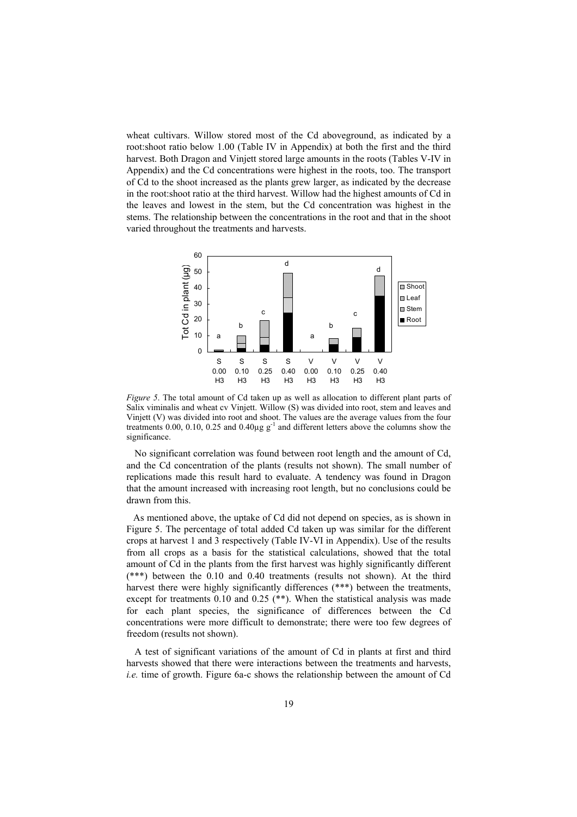wheat cultivars. Willow stored most of the Cd aboveground, as indicated by a root:shoot ratio below 1.00 (Table IV in Appendix) at both the first and the third harvest. Both Dragon and Vinjett stored large amounts in the roots (Tables V-IV in Appendix) and the Cd concentrations were highest in the roots, too. The transport of Cd to the shoot increased as the plants grew larger, as indicated by the decrease in the root:shoot ratio at the third harvest. Willow had the highest amounts of Cd in the leaves and lowest in the stem, but the Cd concentration was highest in the stems. The relationship between the concentrations in the root and that in the shoot varied throughout the treatments and harvests.



*Figure 5*. The total amount of Cd taken up as well as allocation to different plant parts of Salix viminalis and wheat cv Vinjett. Willow (S) was divided into root, stem and leaves and Vinjett (V) was divided into root and shoot. The values are the average values from the four treatments 0.00, 0.10, 0.25 and 0.40 $\mu$ g g<sup>-1</sup> and different letters above the columns show the significance.

No significant correlation was found between root length and the amount of Cd, and the Cd concentration of the plants (results not shown). The small number of replications made this result hard to evaluate. A tendency was found in Dragon that the amount increased with increasing root length, but no conclusions could be drawn from this.

As mentioned above, the uptake of Cd did not depend on species, as is shown in Figure 5. The percentage of total added Cd taken up was similar for the different crops at harvest 1 and 3 respectively (Table IV-VI in Appendix). Use of the results from all crops as a basis for the statistical calculations, showed that the total amount of Cd in the plants from the first harvest was highly significantly different (\*\*\*) between the 0.10 and 0.40 treatments (results not shown). At the third harvest there were highly significantly differences (\*\*\*) between the treatments, except for treatments 0.10 and 0.25 (\*\*). When the statistical analysis was made for each plant species, the significance of differences between the Cd concentrations were more difficult to demonstrate; there were too few degrees of freedom (results not shown).

A test of significant variations of the amount of Cd in plants at first and third harvests showed that there were interactions between the treatments and harvests, *i.e.* time of growth. Figure 6a-c shows the relationship between the amount of Cd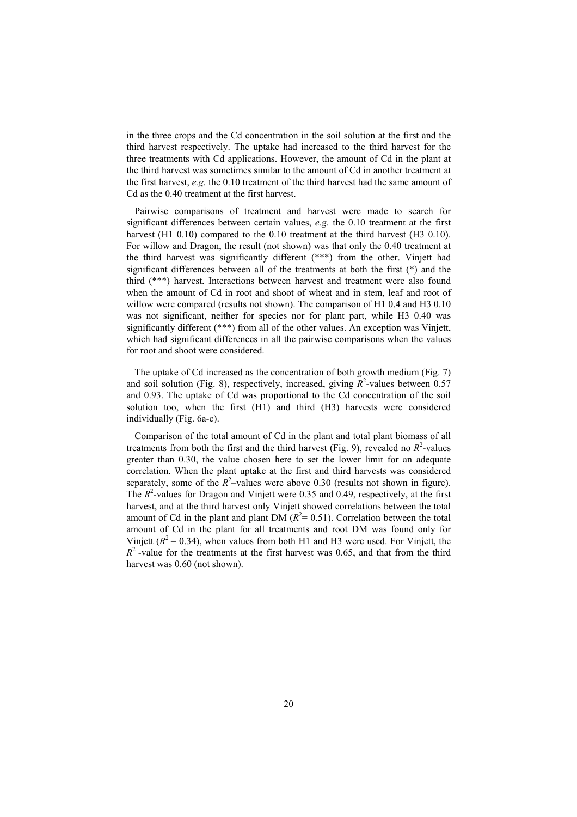in the three crops and the Cd concentration in the soil solution at the first and the third harvest respectively. The uptake had increased to the third harvest for the three treatments with Cd applications. However, the amount of Cd in the plant at the third harvest was sometimes similar to the amount of Cd in another treatment at the first harvest,  $e.g.$  the 0.10 treatment of the third harvest had the same amount of Cd as the 0.40 treatment at the first harvest.

Pairwise comparisons of treatment and harvest were made to search for significant differences between certain values, *e.g.* the 0.10 treatment at the first harvest (H1 0.10) compared to the 0.10 treatment at the third harvest (H3 0.10). For willow and Dragon, the result (not shown) was that only the 0.40 treatment at the third harvest was significantly different (\*\*\*) from the other. Vinjett had significant differences between all of the treatments at both the first (\*) and the third (\*\*\*) harvest. Interactions between harvest and treatment were also found when the amount of Cd in root and shoot of wheat and in stem, leaf and root of willow were compared (results not shown). The comparison of H1 0.4 and H3 0.10 was not significant, neither for species nor for plant part, while H3 0.40 was significantly different (\*\*\*) from all of the other values. An exception was Vinjett, which had significant differences in all the pairwise comparisons when the values for root and shoot were considered.

The uptake of Cd increased as the concentration of both growth medium (Fig. 7) and soil solution (Fig. 8), respectively, increased, giving  $R^2$ -values between 0.57 and 0.93. The uptake of Cd was proportional to the Cd concentration of the soil solution too, when the first (H1) and third (H3) harvests were considered individually (Fig. 6a-c).

Comparison of the total amount of Cd in the plant and total plant biomass of all treatments from both the first and the third harvest (Fig. 9), revealed no  $R^2$ -values greater than 0.30, the value chosen here to set the lower limit for an adequate correlation. When the plant uptake at the first and third harvests was considered separately, some of the  $R^2$ -values were above 0.30 (results not shown in figure). The  $R^2$ -values for Dragon and Vinjett were 0.35 and 0.49, respectively, at the first harvest, and at the third harvest only Vinjett showed correlations between the total amount of Cd in the plant and plant DM  $(R<sup>2</sup>= 0.51)$ . Correlation between the total amount of Cd in the plant for all treatments and root DM was found only for Vinjett ( $R^2$  = 0.34), when values from both H1 and H3 were used. For Vinjett, the  $R<sup>2</sup>$ -value for the treatments at the first harvest was 0.65, and that from the third harvest was 0.60 (not shown).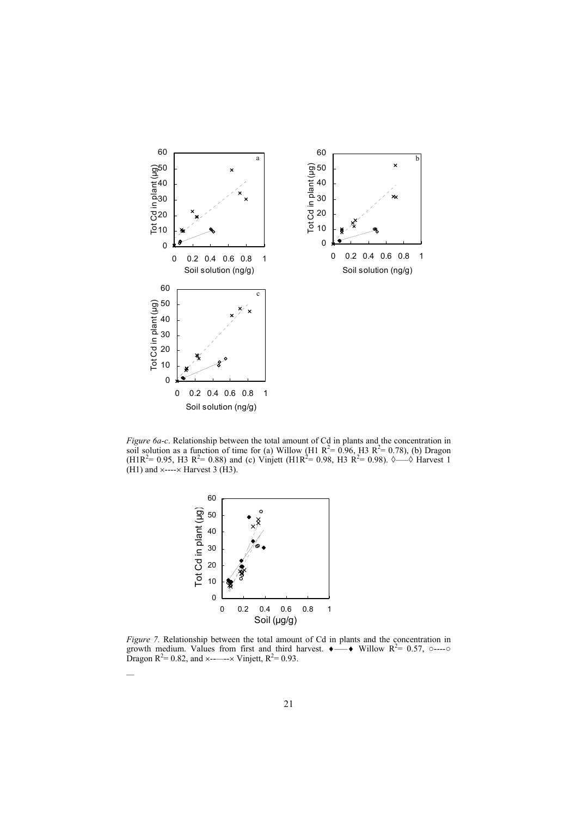

*Figure 6a-c*. Relationship between the total amount of Cd in plants and the concentration in soil solution as a function of time for (a) Willow (H1  $R^2 = 0.96$ , H3  $R^2 = 0.78$ ), (b) Dragon  $(H1R<sup>2</sup>= 0.95, H3 R<sup>2</sup>= 0.88)$  and (c) Vinjett (H1R<sup>2</sup> = 0.98, H3 R<sup>2</sup> = 0.98).  $\Diamond$ — $\Diamond$  Harvest 1  $(H1)$  and  $\times$ --- $\times$  Harvest 3 (H3).



*—* 

*Figure 7.* Relationship between the total amount of Cd in plants and the concentration in growth medium. Values from first and third harvest.  $\bullet \rightarrow \bullet$  Willow R<sup>2</sup>= 0.57, o----o Dragon  $R^2 = 0.82$ , and  $\times$ ----- $\times$  Vinjett,  $R^2 = 0.93$ .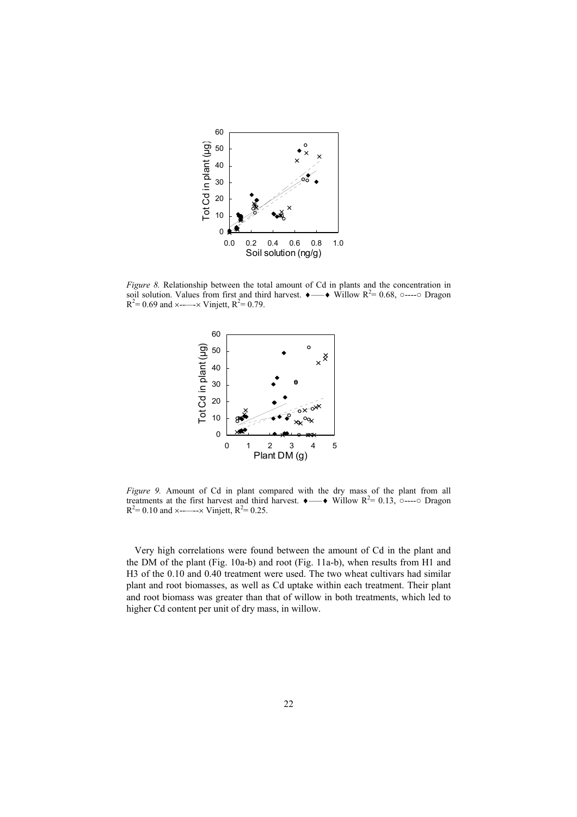

*Figure 8.* Relationship between the total amount of Cd in plants and the concentration in soil solution. Values from first and third harvest.  $\rightarrow \rightarrow$  Willow R<sup>2</sup>= 0.68, o----o Dragon  $R^2$ = 0.69 and ×------× Vinjett,  $R^2$ = 0.79.



*Figure 9.* Amount of Cd in plant compared with the dry mass of the plant from all treatments at the first harvest and third harvest.  $\bullet \longrightarrow$  Willow R<sup>2</sup>= 0.13, o----o Dragon  $R^2$ = 0.10 and ×-------× Vinjett,  $R^2$ = 0.25.

 Very high correlations were found between the amount of Cd in the plant and the DM of the plant (Fig. 10a-b) and root (Fig. 11a-b), when results from H1 and H3 of the 0.10 and 0.40 treatment were used. The two wheat cultivars had similar plant and root biomasses, as well as Cd uptake within each treatment. Their plant and root biomass was greater than that of willow in both treatments, which led to higher Cd content per unit of dry mass, in willow.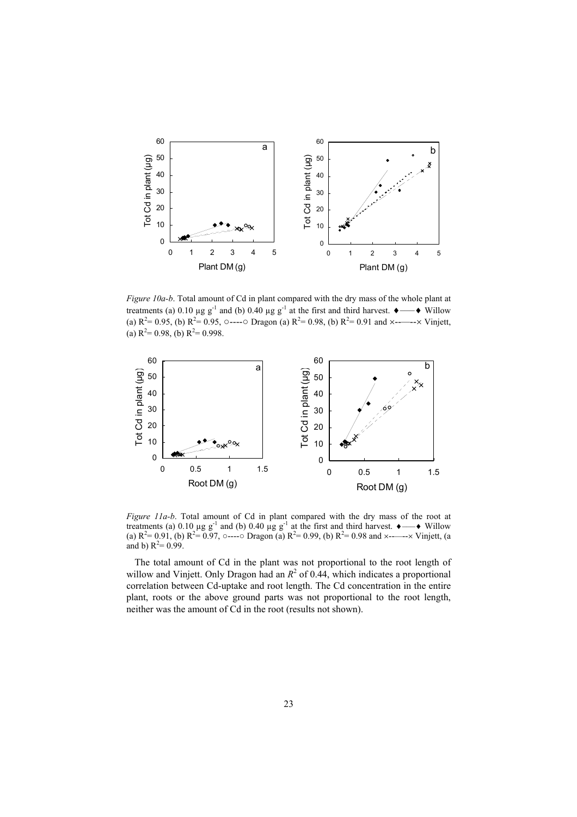

*Figure 10a-b*. Total amount of Cd in plant compared with the dry mass of the whole plant at treatments (a) 0.10 µg g<sup>-1</sup> and (b) 0.40 µg g<sup>-1</sup> at the first and third harvest.  $\bullet \longrightarrow \text{Willow}$ (a)  $R^2 = 0.95$ , (b)  $R^2 = 0.95$ ,  $\circ$ ---- $\circ$  Dragon (a)  $R^2 = 0.98$ , (b)  $R^2 = 0.91$  and  $\times$ ----- $\times$  Vinjett, (a)  $R^2 = 0.98$ , (b)  $R^2 = 0.998$ .



*Figure 11a-b*. Total amount of Cd in plant compared with the dry mass of the root at treatments (a) 0.10 µg g<sup>-1</sup> and (b) 0.40 µg g<sup>-1</sup> at the first and third harvest.  $\bullet \longrightarrow \bullet$  Willow (a)  $R^2 = 0.91$ , (b)  $R^2 = 0.97$ , o----o Dragon (a)  $R^2 = 0.99$ , (b)  $R^2 = 0.98$  and  $\times$ ----- $\times$  Vinjett, (a and b)  $R^2 = 0.99$ .

The total amount of Cd in the plant was not proportional to the root length of willow and Vinjett. Only Dragon had an  $R^2$  of 0.44, which indicates a proportional correlation between Cd-uptake and root length. The Cd concentration in the entire plant, roots or the above ground parts was not proportional to the root length, neither was the amount of Cd in the root (results not shown).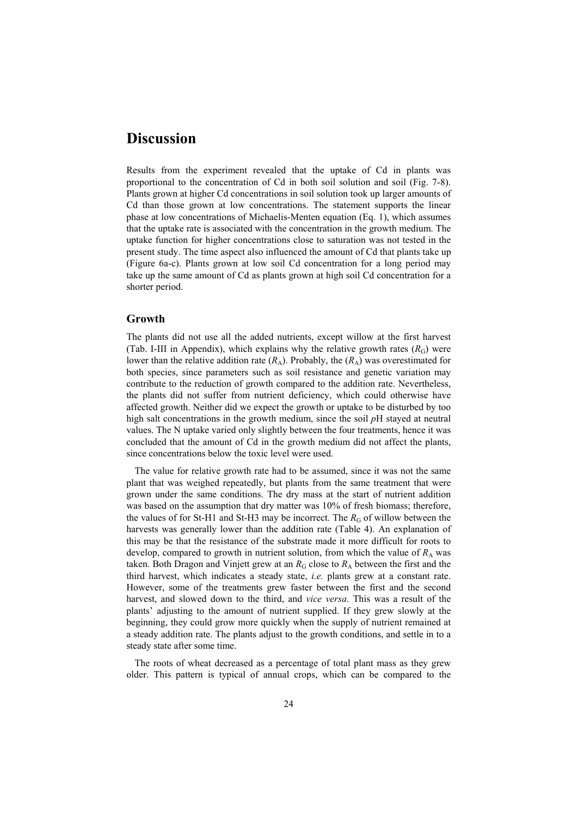# **Discussion**

Results from the experiment revealed that the uptake of Cd in plants was proportional to the concentration of Cd in both soil solution and soil (Fig. 7-8). Plants grown at higher Cd concentrations in soil solution took up larger amounts of Cd than those grown at low concentrations. The statement supports the linear phase at low concentrations of Michaelis-Menten equation (Eq. 1), which assumes that the uptake rate is associated with the concentration in the growth medium. The uptake function for higher concentrations close to saturation was not tested in the present study. The time aspect also influenced the amount of Cd that plants take up (Figure 6a-c). Plants grown at low soil Cd concentration for a long period may take up the same amount of Cd as plants grown at high soil Cd concentration for a shorter period.

#### **Growth**

The plants did not use all the added nutrients, except willow at the first harvest (Tab. I-III in Appendix), which explains why the relative growth rates  $(R_G)$  were lower than the relative addition rate  $(R_A)$ . Probably, the  $(R_A)$  was overestimated for both species, since parameters such as soil resistance and genetic variation may contribute to the reduction of growth compared to the addition rate. Nevertheless, the plants did not suffer from nutrient deficiency, which could otherwise have affected growth. Neither did we expect the growth or uptake to be disturbed by too high salt concentrations in the growth medium, since the soil *p*H stayed at neutral values. The N uptake varied only slightly between the four treatments, hence it was concluded that the amount of Cd in the growth medium did not affect the plants, since concentrations below the toxic level were used.

 The value for relative growth rate had to be assumed, since it was not the same plant that was weighed repeatedly, but plants from the same treatment that were grown under the same conditions. The dry mass at the start of nutrient addition was based on the assumption that dry matter was 10% of fresh biomass; therefore, the values of for St-H1 and St-H3 may be incorrect. The  $R<sub>G</sub>$  of willow between the harvests was generally lower than the addition rate (Table 4). An explanation of this may be that the resistance of the substrate made it more difficult for roots to develop, compared to growth in nutrient solution, from which the value of  $R_A$  was taken. Both Dragon and Vinjett grew at an  $R_G$  close to  $R_A$  between the first and the third harvest, which indicates a steady state, *i.e.* plants grew at a constant rate. However, some of the treatments grew faster between the first and the second harvest, and slowed down to the third, and *vice versa*. This was a result of the plants' adjusting to the amount of nutrient supplied. If they grew slowly at the beginning, they could grow more quickly when the supply of nutrient remained at a steady addition rate. The plants adjust to the growth conditions, and settle in to a steady state after some time.

The roots of wheat decreased as a percentage of total plant mass as they grew older. This pattern is typical of annual crops, which can be compared to the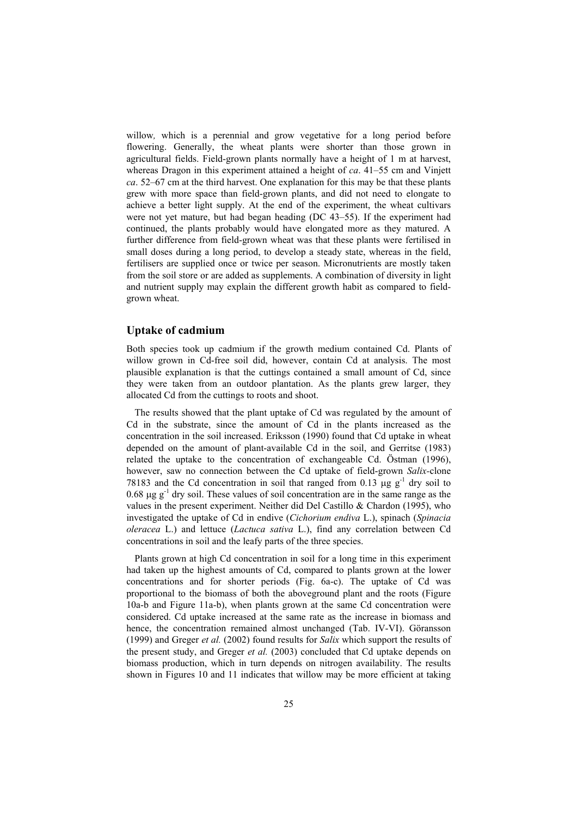willow, which is a perennial and grow vegetative for a long period before flowering. Generally, the wheat plants were shorter than those grown in agricultural fields. Field-grown plants normally have a height of 1 m at harvest, whereas Dragon in this experiment attained a height of *ca*. 41–55 cm and Vinjett *ca*. 52–67 cm at the third harvest. One explanation for this may be that these plants grew with more space than field-grown plants, and did not need to elongate to achieve a better light supply. At the end of the experiment, the wheat cultivars were not yet mature, but had began heading (DC 43–55). If the experiment had continued, the plants probably would have elongated more as they matured. A further difference from field-grown wheat was that these plants were fertilised in small doses during a long period, to develop a steady state, whereas in the field, fertilisers are supplied once or twice per season. Micronutrients are mostly taken from the soil store or are added as supplements. A combination of diversity in light and nutrient supply may explain the different growth habit as compared to fieldgrown wheat.

### **Uptake of cadmium**

Both species took up cadmium if the growth medium contained Cd. Plants of willow grown in Cd-free soil did, however, contain Cd at analysis. The most plausible explanation is that the cuttings contained a small amount of Cd, since they were taken from an outdoor plantation. As the plants grew larger, they allocated Cd from the cuttings to roots and shoot.

The results showed that the plant uptake of Cd was regulated by the amount of Cd in the substrate, since the amount of Cd in the plants increased as the concentration in the soil increased. Eriksson (1990) found that Cd uptake in wheat depended on the amount of plant-available Cd in the soil, and Gerritse (1983) related the uptake to the concentration of exchangeable Cd. Östman (1996), however, saw no connection between the Cd uptake of field-grown *Salix-*clone 78183 and the Cd concentration in soil that ranged from 0.13  $\mu$ g g<sup>-1</sup> dry soil to  $0.68 \text{ µg g}^{-1}$  dry soil. These values of soil concentration are in the same range as the values in the present experiment. Neither did Del Castillo & Chardon (1995), who investigated the uptake of Cd in endive (*Cichorium endiva* L.), spinach (*Spinacia oleracea* L.) and lettuce (*Lactuca sativa* L.), find any correlation between Cd concentrations in soil and the leafy parts of the three species.

Plants grown at high Cd concentration in soil for a long time in this experiment had taken up the highest amounts of Cd, compared to plants grown at the lower concentrations and for shorter periods (Fig. 6a-c). The uptake of Cd was proportional to the biomass of both the aboveground plant and the roots (Figure 10a-b and Figure 11a-b), when plants grown at the same Cd concentration were considered. Cd uptake increased at the same rate as the increase in biomass and hence, the concentration remained almost unchanged (Tab. IV-VI). Göransson (1999) and Greger *et al.* (2002) found results for *Salix* which support the results of the present study, and Greger *et al.* (2003) concluded that Cd uptake depends on biomass production, which in turn depends on nitrogen availability. The results shown in Figures 10 and 11 indicates that willow may be more efficient at taking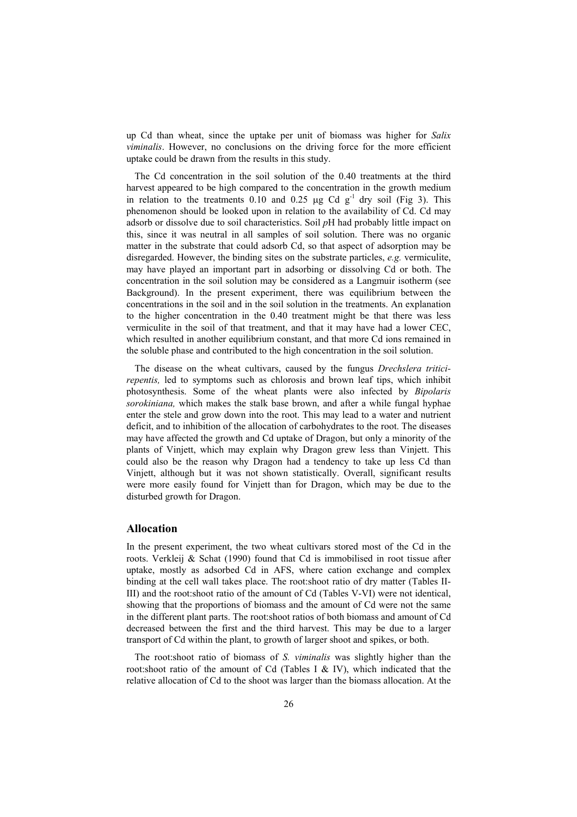up Cd than wheat, since the uptake per unit of biomass was higher for *Salix viminalis*. However, no conclusions on the driving force for the more efficient uptake could be drawn from the results in this study.

The Cd concentration in the soil solution of the 0.40 treatments at the third harvest appeared to be high compared to the concentration in the growth medium in relation to the treatments 0.10 and 0.25  $\mu$ g Cd g<sup>-1</sup> dry soil (Fig 3). This phenomenon should be looked upon in relation to the availability of Cd. Cd may adsorb or dissolve due to soil characteristics. Soil *p*H had probably little impact on this, since it was neutral in all samples of soil solution. There was no organic matter in the substrate that could adsorb Cd, so that aspect of adsorption may be disregarded. However, the binding sites on the substrate particles, *e.g.* vermiculite, may have played an important part in adsorbing or dissolving Cd or both. The concentration in the soil solution may be considered as a Langmuir isotherm (see Background). In the present experiment, there was equilibrium between the concentrations in the soil and in the soil solution in the treatments. An explanation to the higher concentration in the 0.40 treatment might be that there was less vermiculite in the soil of that treatment, and that it may have had a lower CEC, which resulted in another equilibrium constant, and that more Cd ions remained in the soluble phase and contributed to the high concentration in the soil solution.

The disease on the wheat cultivars, caused by the fungus *Drechslera triticirepentis,* led to symptoms such as chlorosis and brown leaf tips, which inhibit photosynthesis. Some of the wheat plants were also infected by *Bipolaris sorokiniana,* which makes the stalk base brown, and after a while fungal hyphae enter the stele and grow down into the root. This may lead to a water and nutrient deficit, and to inhibition of the allocation of carbohydrates to the root. The diseases may have affected the growth and Cd uptake of Dragon, but only a minority of the plants of Vinjett, which may explain why Dragon grew less than Vinjett. This could also be the reason why Dragon had a tendency to take up less Cd than Vinjett, although but it was not shown statistically. Overall, significant results were more easily found for Vinjett than for Dragon, which may be due to the disturbed growth for Dragon.

#### **Allocation**

In the present experiment, the two wheat cultivars stored most of the Cd in the roots. Verkleij & Schat (1990) found that Cd is immobilised in root tissue after uptake, mostly as adsorbed Cd in AFS, where cation exchange and complex binding at the cell wall takes place. The root:shoot ratio of dry matter (Tables II-III) and the root:shoot ratio of the amount of Cd (Tables V-VI) were not identical, showing that the proportions of biomass and the amount of Cd were not the same in the different plant parts. The root:shoot ratios of both biomass and amount of Cd decreased between the first and the third harvest. This may be due to a larger transport of Cd within the plant, to growth of larger shoot and spikes, or both.

The root:shoot ratio of biomass of *S. viminalis* was slightly higher than the root:shoot ratio of the amount of Cd (Tables I & IV), which indicated that the relative allocation of Cd to the shoot was larger than the biomass allocation. At the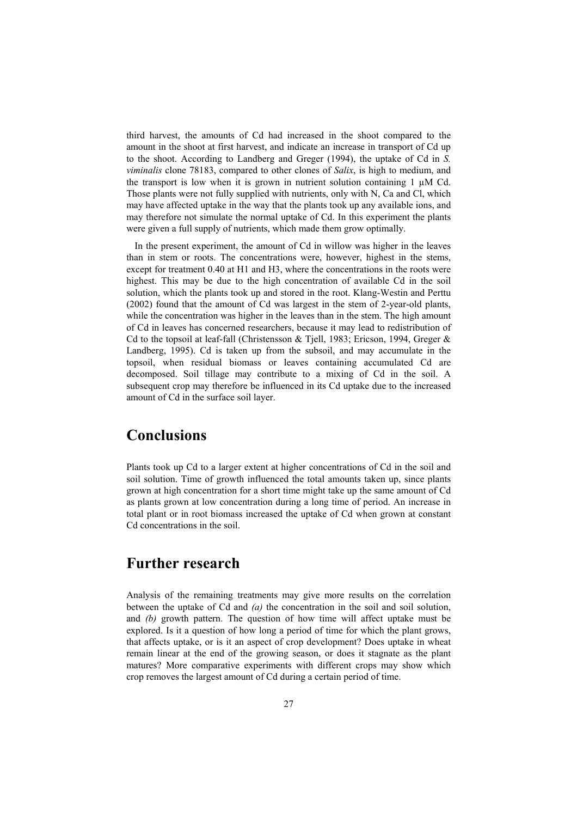third harvest, the amounts of Cd had increased in the shoot compared to the amount in the shoot at first harvest, and indicate an increase in transport of Cd up to the shoot. According to Landberg and Greger (1994), the uptake of Cd in *S. viminalis* clone 78183, compared to other clones of *Salix*, is high to medium, and the transport is low when it is grown in nutrient solution containing 1  $\mu$ M Cd. Those plants were not fully supplied with nutrients, only with N, Ca and Cl, which may have affected uptake in the way that the plants took up any available ions, and may therefore not simulate the normal uptake of Cd. In this experiment the plants were given a full supply of nutrients, which made them grow optimally.

In the present experiment, the amount of Cd in willow was higher in the leaves than in stem or roots. The concentrations were, however, highest in the stems, except for treatment 0.40 at H1 and H3, where the concentrations in the roots were highest. This may be due to the high concentration of available Cd in the soil solution, which the plants took up and stored in the root. Klang-Westin and Perttu (2002) found that the amount of Cd was largest in the stem of 2-year-old plants, while the concentration was higher in the leaves than in the stem. The high amount of Cd in leaves has concerned researchers, because it may lead to redistribution of Cd to the topsoil at leaf-fall (Christensson & Tjell, 1983; Ericson, 1994, Greger & Landberg, 1995). Cd is taken up from the subsoil, and may accumulate in the topsoil, when residual biomass or leaves containing accumulated Cd are decomposed. Soil tillage may contribute to a mixing of Cd in the soil. A subsequent crop may therefore be influenced in its Cd uptake due to the increased amount of Cd in the surface soil layer.

### **Conclusions**

Plants took up Cd to a larger extent at higher concentrations of Cd in the soil and soil solution. Time of growth influenced the total amounts taken up, since plants grown at high concentration for a short time might take up the same amount of Cd as plants grown at low concentration during a long time of period. An increase in total plant or in root biomass increased the uptake of Cd when grown at constant Cd concentrations in the soil.

### **Further research**

Analysis of the remaining treatments may give more results on the correlation between the uptake of Cd and *(a)* the concentration in the soil and soil solution, and *(b)* growth pattern. The question of how time will affect uptake must be explored. Is it a question of how long a period of time for which the plant grows, that affects uptake, or is it an aspect of crop development? Does uptake in wheat remain linear at the end of the growing season, or does it stagnate as the plant matures? More comparative experiments with different crops may show which crop removes the largest amount of Cd during a certain period of time.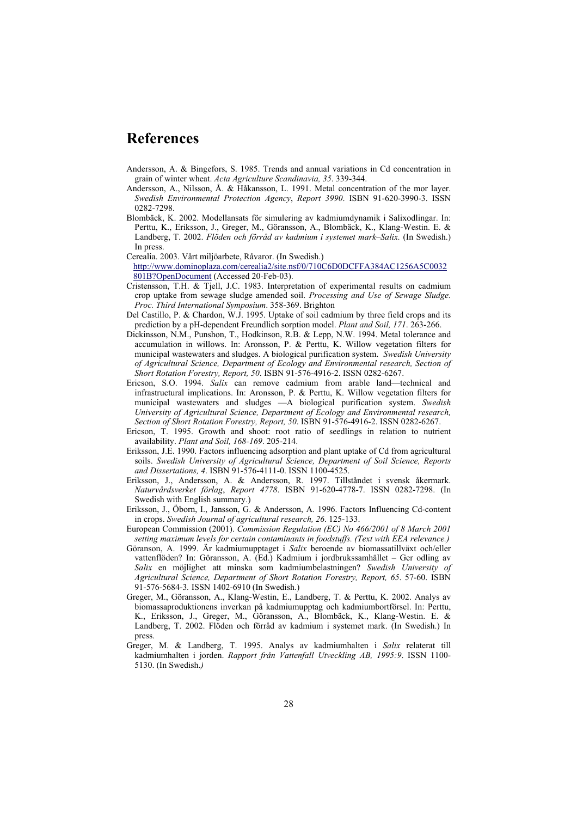### **References**

- Andersson, A. & Bingefors, S. 1985. Trends and annual variations in Cd concentration in grain of winter wheat. *Acta Agriculture Scandinavia, 35*. 339-344.
- Andersson, A., Nilsson, Å. & Håkansson, L. 1991. Metal concentration of the mor layer. *Swedish Environmental Protection Agency*, *Report 3990*. ISBN 91-620-3990-3. ISSN 0282-7298.
- Blombäck, K. 2002. Modellansats för simulering av kadmiumdynamik i Salixodlingar. In: Perttu, K., Eriksson, J., Greger, M., Göransson, A., Blombäck, K., Klang-Westin. E. & Landberg, T. 2002. *Flöden och förråd av kadmium i systemet mark–Salix.* (In Swedish.) In press.
- Cerealia. 2003. Vårt miljöarbete, Råvaror. (In Swedish.) http://www.dominoplaza.com/cerealia2/site.nsf/0/710C6D0DCFFA384AC1256A5C0032 801B?OpenDocument (Accessed 20-Feb-03).
- Cristensson, T.H. & Tjell, J.C. 1983. Interpretation of experimental results on cadmium crop uptake from sewage sludge amended soil. *Processing and Use of Sewage Sludge. Proc. Third International Symposium*. 358-369. Brighton
- Del Castillo, P. & Chardon, W.J. 1995. Uptake of soil cadmium by three field crops and its prediction by a pH-dependent Freundlich sorption model. *Plant and Soil, 171*. 263-266.
- Dickinsson, N.M., Punshon, T., Hodkinson, R.B. & Lepp, N.W. 1994. Metal tolerance and accumulation in willows. In: Aronsson, P. & Perttu, K. Willow vegetation filters for municipal wastewaters and sludges. A biological purification system. *Swedish University of Agricultural Science, Department of Ecology and Environmental research, Section of Short Rotation Forestry, Report, 50*. ISBN 91-576-4916-2. ISSN 0282-6267.
- Ericson, S.O. 1994. *Salix* can remove cadmium from arable land—technical and infrastructural implications. In: Aronsson, P. & Perttu, K. Willow vegetation filters for municipal wastewaters and sludges —A biological purification system. *Swedish University of Agricultural Science, Department of Ecology and Environmental research, Section of Short Rotation Forestry, Report, 50*. ISBN 91-576-4916-2. ISSN 0282-6267.
- Ericson, T. 1995. Growth and shoot: root ratio of seedlings in relation to nutrient availability. *Plant and Soil, 168-169*. 205-214.
- Eriksson, J.E. 1990. Factors influencing adsorption and plant uptake of Cd from agricultural soils. *Swedish University of Agricultural Science, Department of Soil Science, Reports and Dissertations, 4*. ISBN 91-576-4111-0. ISSN 1100-4525.
- Eriksson, J., Andersson, A. & Andersson, R. 1997. Tillståndet i svensk åkermark. *Naturvårdsverket förlag*, *Report 4778*. ISBN 91-620-4778-7. ISSN 0282-7298. (In Swedish with English summary.)
- Eriksson, J., Öborn, I., Jansson, G. & Andersson, A. 1996. Factors Influencing Cd-content in crops. *Swedish Journal of agricultural research, 26*. 125-133.
- European Commission (2001). *Commission Regulation (EC) No 466/2001 of 8 March 2001 setting maximum levels for certain contaminants in foodstuffs. (Text with EEA relevance.)*
- Göranson, A. 1999. Är kadmiumupptaget i *Salix* beroende av biomassatillväxt och/eller vattenflöden? In: Göransson, A. (Ed.) Kadmium i jordbrukssamhället – Ger odling av *Salix* en möjlighet att minska som kadmiumbelastningen? *Swedish University of Agricultural Science, Department of Short Rotation Forestry, Report, 65*. 57-60. ISBN 91-576-5684-3*.* ISSN 1402-6910 (In Swedish.)
- Greger, M., Göransson, A., Klang-Westin, E., Landberg, T. & Perttu, K. 2002. Analys av biomassaproduktionens inverkan på kadmiumupptag och kadmiumbortförsel. In: Perttu, K., Eriksson, J., Greger, M., Göransson, A., Blombäck, K., Klang-Westin. E. & Landberg, T. 2002. Flöden och förråd av kadmium i systemet mark. (In Swedish.) In press.
- Greger, M. & Landberg, T. 1995. Analys av kadmiumhalten i *Salix* relaterat till kadmiumhalten i jorden. *Rapport från Vattenfall Utveckling AB, 1995:9*. ISSN 1100- 5130. (In Swedish.*)*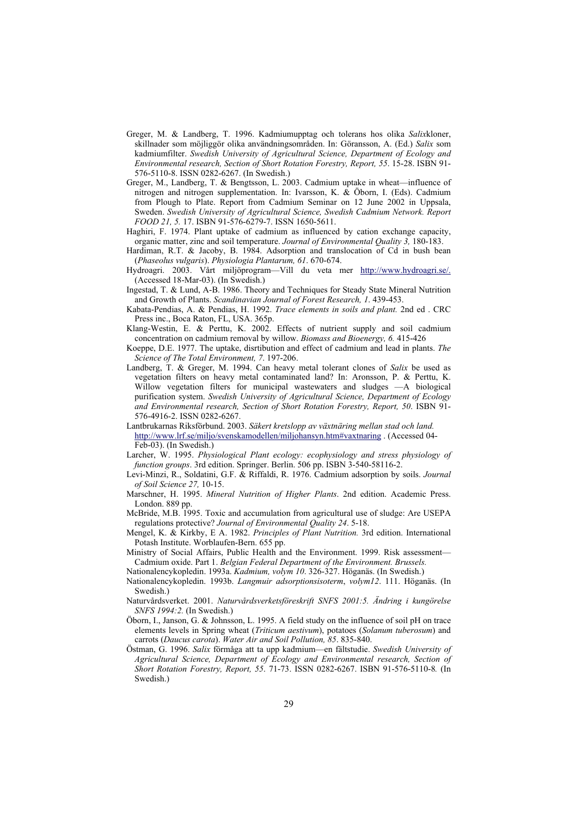- Greger, M. & Landberg, T. 1996. Kadmiumupptag och tolerans hos olika *Salix*kloner, skillnader som möjliggör olika användningsområden. In: Göransson, A. (Ed.) *Salix* som kadmiumfilter. *Swedish University of Agricultural Science, Department of Ecology and Environmental research, Section of Short Rotation Forestry, Report, 55*. 15-28. ISBN 91- 576-5110-8. ISSN 0282-6267. (In Swedish.)
- Greger, M., Landberg, T. & Bengtsson, L. 2003. Cadmium uptake in wheat—influence of nitrogen and nitrogen supplementation. In: Ivarsson, K. & Öborn, I. (Eds). Cadmium from Plough to Plate. Report from Cadmium Seminar on 12 June 2002 in Uppsala, Sweden. *Swedish University of Agricultural Science, Swedish Cadmium Network. Report FOOD 21, 5.* 17. ISBN 91-576-6279-7. ISSN 1650-5611.
- Haghiri, F. 1974. Plant uptake of cadmium as influenced by cation exchange capacity, organic matter, zinc and soil temperature. *Journal of Environmental Quality 3,* 180-183.
- Hardiman, R.T. & Jacoby, B. 1984. Adsorption and translocation of Cd in bush bean (*Phaseolus vulgaris*). *Physiologia Plantarum, 61*. 670-674.
- Hydroagri. 2003. Vårt miljöprogram—Vill du veta mer http://www.hydroagri.se/. (Accessed 18-Mar-03). (In Swedish.)
- Ingestad, T. & Lund, A-B. 1986. Theory and Techniques for Steady State Mineral Nutrition and Growth of Plants. *Scandinavian Journal of Forest Research, 1*. 439-453.
- Kabata-Pendias, A. & Pendias, H. 1992. *Trace elements in soils and plant.* 2nd ed . CRC Press inc., Boca Raton, FL, USA. 365p.
- Klang-Westin, E. & Perttu, K. 2002. Effects of nutrient supply and soil cadmium concentration on cadmium removal by willow. *Biomass and Bioenergy, 6.* 415-426
- Koeppe, D.E. 1977. The uptake, disrtibution and effect of cadmium and lead in plants. *The Science of The Total Environment, 7*. 197-206.
- Landberg, T. & Greger, M. 1994. Can heavy metal tolerant clones of *Salix* be used as vegetation filters on heavy metal contaminated land? In: Aronsson, P. & Perttu, K. Willow vegetation filters for municipal wastewaters and sludges —A biological purification system. *Swedish University of Agricultural Science, Department of Ecology and Environmental research, Section of Short Rotation Forestry, Report, 50*. ISBN 91- 576-4916-2. ISSN 0282-6267.
- Lantbrukarnas Riksförbund. 2003. *Säkert kretslopp av växtnäring mellan stad och land.* http://www.lrf.se/miljo/svenskamodellen/miljohansyn.htm#vaxtnaring . (Accessed 04- Feb-03). (In Swedish.)
- Larcher, W. 1995. *Physiological Plant ecology: ecophysiology and stress physiology of function groups*. 3rd edition. Springer. Berlin. 506 pp. ISBN 3-540-58116-2.
- Levi-Minzi, R., Soldatini, G.F. & Riffaldi, R. 1976. Cadmium adsorption by soils. *Journal of Soil Science 27,* 10-15.
- Marschner, H. 1995. *Mineral Nutrition of Higher Plants*. 2nd edition. Academic Press. London. 889 pp.
- McBride, M.B. 1995. Toxic and accumulation from agricultural use of sludge: Are USEPA regulations protective? *Journal of Environmental Quality 24*. 5-18.
- Mengel, K. & Kirkby, E A. 1982. *Principles of Plant Nutrition.* 3rd edition. International Potash Institute. Worblaufen-Bern. 655 pp.
- Ministry of Social Affairs, Public Health and the Environment. 1999. Risk assessment— Cadmium oxide. Part 1. *Belgian Federal Department of the Environment. Brussels.*
- Nationalencykopledin. 1993a. *Kadmium, volym 10*. 326-327. Höganäs. (In Swedish.)
- Nationalencykopledin. 1993b. *Langmuir adsorptionsisoterm*, *volym12*. 111. Höganäs. (In Swedish.)
- Naturvårdsverket. 2001. *Naturvårdsverketsföreskrift SNFS 2001:5. Ändring i kungörelse SNFS 1994:2.* (In Swedish.)
- Öborn, I., Janson, G. & Johnsson, L. 1995. A field study on the influence of soil pH on trace elements levels in Spring wheat (*Triticum aestivum*), potatoes (*Solanum tuberosum*) and carrots (*Daucus carota*). *Water Air and Soil Pollution, 85*. 835-840.
- Östman, G. 1996. *Salix* förmåga att ta upp kadmium—en fältstudie. *Swedish University of Agricultural Science, Department of Ecology and Environmental research, Section of Short Rotation Forestry, Report, 55*. 71-73. ISSN 0282-6267. ISBN 91-576-5110-8*.* (In Swedish.)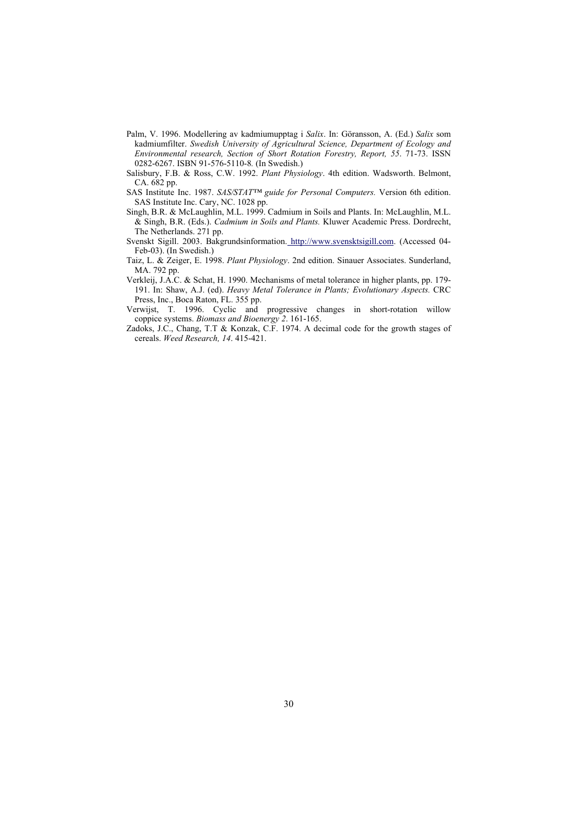- Palm, V. 1996. Modellering av kadmiumupptag i *Salix*. In: Göransson, A. (Ed.) *Salix* som kadmiumfilter. *Swedish University of Agricultural Science, Department of Ecology and Environmental research, Section of Short Rotation Forestry, Report, 55*. 71-73. ISSN 0282-6267. ISBN 91-576-5110-8*.* (In Swedish.)
- Salisbury, F.B. & Ross, C.W. 1992. *Plant Physiology*. 4th edition. Wadsworth. Belmont, CA. 682 pp.
- SAS Institute Inc. 1987. *SAS/STAT™ guide for Personal Computers.* Version 6th edition. SAS Institute Inc. Cary, NC. 1028 pp.
- Singh, B.R. & McLaughlin, M.L. 1999. Cadmium in Soils and Plants. In: McLaughlin, M.L. & Singh, B.R. (Eds.). *Cadmium in Soils and Plants.* Kluwer Academic Press. Dordrecht, The Netherlands. 271 pp.
- Svenskt Sigill. 2003. Bakgrundsinformation. http://www.svensktsigill.com. (Accessed 04- Feb-03). (In Swedish.)
- Taiz, L. & Zeiger, E. 1998. *Plant Physiology*. 2nd edition. Sinauer Associates. Sunderland, MA. 792 pp.
- Verkleij, J.A.C. & Schat, H. 1990. Mechanisms of metal tolerance in higher plants, pp. 179- 191. In: Shaw, A.J. (ed). *Heavy Metal Tolerance in Plants; Evolutionary Aspects.* CRC Press, Inc., Boca Raton, FL. 355 pp.
- Verwijst, T. 1996. Cyclic and progressive changes in short-rotation willow coppice systems. *Biomass and Bioenergy 2*. 161-165.
- Zadoks, J.C., Chang, T.T & Konzak, C.F. 1974. A decimal code for the growth stages of cereals. *Weed Research, 14*. 415-421.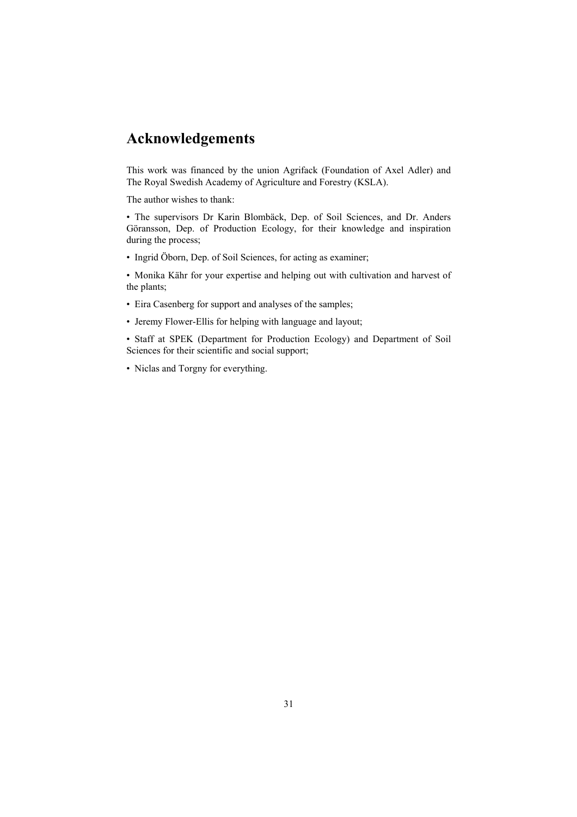# **Acknowledgements**

This work was financed by the union Agrifack (Foundation of Axel Adler) and The Royal Swedish Academy of Agriculture and Forestry (KSLA).

The author wishes to thank:

• The supervisors Dr Karin Blombäck, Dep. of Soil Sciences, and Dr. Anders Göransson, Dep. of Production Ecology, for their knowledge and inspiration during the process;

• Ingrid Öborn, Dep. of Soil Sciences, for acting as examiner;

• Monika Kähr for your expertise and helping out with cultivation and harvest of the plants;

- Eira Casenberg for support and analyses of the samples;
- Jeremy Flower-Ellis for helping with language and layout;

• Staff at SPEK (Department for Production Ecology) and Department of Soil Sciences for their scientific and social support;

• Niclas and Torgny for everything.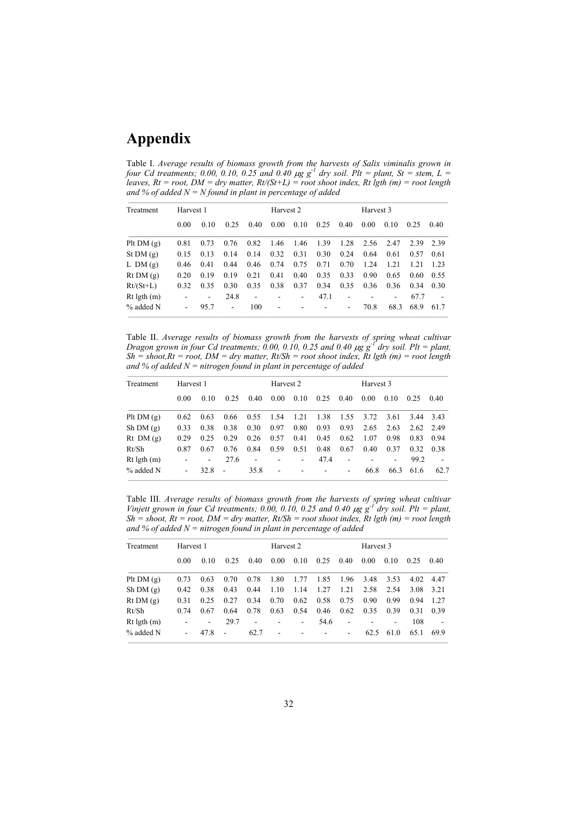# **Appendix**

Table I. *Average results of biomass growth from the harvests of Salix viminalis grown in four Cd treatments; 0.00, 0.10, 0.25 and 0.40*  $\mu$ *g g<sup>-1</sup> dry soil. Plt = plant, St = stem, L = leaves, Rt = root, DM = dry matter, Rt/(St+L) = root shoot index, Rt lgth (m) = root length and % of added N = N found in plant in percentage of added* 

| Treatment       | Harvest 1 |                          |                          |                          |                          | Harvest 2                |      |                          | Harvest 3 |                              |       |      |
|-----------------|-----------|--------------------------|--------------------------|--------------------------|--------------------------|--------------------------|------|--------------------------|-----------|------------------------------|-------|------|
|                 | 0.00      | 0.10                     | 0.25                     | 0.40                     | 0.00                     | 0.10                     | 0.25 | 0.40                     | 0.00      | 0.10                         | 0.25  | 0.40 |
| Plt $DM(g)$     | 0.81      | 0.73                     | 0.76                     | 0.82                     | 1.46                     | 1.46                     | 1.39 | 1.28                     | 2.56      | 2.47                         | 2.39  | 2.39 |
| St DM $(g)$     | 0.15      | 0.13                     | 0.14                     | 0.14                     | 0.32                     | 0.31                     | 0.30 | 0.24                     | 0.64      | 0.61                         | 0.57  | 0.61 |
| L DM $(g)$      | 0.46      | 0.41                     | 0.44                     | 0.46                     | 0.74                     | 0.75                     | 0.71 | 0.70                     | 1.24      | 1.21                         | 1 2.1 | 1 23 |
| Rt DM(g)        | 0.20      | 0.19                     | 0.19                     | 0.21                     | 0.41                     | 0.40                     | 0.35 | 0.33                     | 0.90      | 0.65                         | 0.60  | 0.55 |
| $Rt/(St+L)$     | 0.32      | 0.35                     | 0.30                     | 0.35                     | 0.38                     | 0.37                     | 0.34 | 0.35                     | 0.36      | 0.36                         | 0.34  | 0.30 |
| $Rt$ lgth $(m)$ |           | $\overline{\phantom{a}}$ | 24.8                     | $\overline{\phantom{a}}$ | $\overline{\phantom{0}}$ | $\overline{\phantom{a}}$ | 47.1 | $\overline{\phantom{a}}$ |           | $\qquad \qquad \blacksquare$ | 67.7  |      |
| $%$ added N     |           | 95.7                     | $\overline{\phantom{a}}$ | 100                      | ٠                        |                          |      | $\overline{\phantom{a}}$ | 70.8      | 68.3                         | 68.9  | 61.7 |

Table II. *Average results of biomass growth from the harvests of spring wheat cultivar Dragon grown in four Cd treatments; 0.00, 0.10, 0.25 and 0.40*  $\mu$ *g g<sup>-1</sup> dry soil. Plt = plant,*  $Sh = shoot, Rt = root, DM = dry matter, Rt/Sh = root shoot index, Rt get$   $f = root length$ and % of added  $N =$  nitrogen found in plant in percentage of added

| Treatment       | Harvest 1 |                          |                |                          | Harvest 2 |                          |      | Harvest 3                |      |      |      |      |
|-----------------|-----------|--------------------------|----------------|--------------------------|-----------|--------------------------|------|--------------------------|------|------|------|------|
|                 | 0.00      | 0.10                     | 0.25           | 0.40                     | 0.00      | 0.10                     | 0.25 | 0.40                     | 0.00 | 0.10 | 0.25 | 0.40 |
| Plt $DM(g)$     | 0.62      | 0.63                     | 0.66           | 0.55                     | 1.54      | 1.21                     | 1.38 | 1.55                     | 3.72 | 3.61 | 3.44 | 3.43 |
| Sh DM(g)        | 0.33      | 0.38                     | 0.38           | 0.30                     | 0.97      | 0.80                     | 0.93 | 0.93                     | 2.65 | 2.63 | 2.62 | 2.49 |
| $Rt$ DM $(q)$   | 0.29      | 0.25                     | 0.29           | 0.26                     | 0.57      | 0.41                     | 0.45 | 0.62                     | 1.07 | 0.98 | 0.83 | 0.94 |
| Rt/Sh           | 0.87      | 0.67                     | 0.76           | 0.84                     | 0.59      | 0.51                     | 0.48 | 0.67                     | 0.40 | 0.37 | 0.32 | 0.38 |
| $Rt$ lgth $(m)$ |           | $\overline{\phantom{a}}$ | 27.6           | $\overline{\phantom{0}}$ |           | $\overline{\phantom{a}}$ | 47.4 | $\overline{\phantom{0}}$ |      |      | 99.2 |      |
| $%$ added N     | ۰         | 32.8                     | $\blacksquare$ | 35.8                     | ٠         |                          |      | ۰                        | 66.8 | 66.3 | 61.6 | 62.7 |

Table III. *Average results of biomass growth from the harvests of spring wheat cultivar Vinjett grown in four Cd treatments;* 0.00, 0.10, 0.25 and 0.40  $\mu$ g g<sup>-1</sup> dry soil. Plt = plant, *Sh = shoot, Rt = root, DM = dry matter, Rt/Sh = root shoot index, Rt lgth (m) = root length and % of added N = nitrogen found in plant in percentage of added* 

| Treatment       | Harvest 1 |      |                          |      |                | Harvest 2 |      |                          | Harvest 3 |      |      |      |
|-----------------|-----------|------|--------------------------|------|----------------|-----------|------|--------------------------|-----------|------|------|------|
|                 | 0.00      | 0.10 | 0.25                     | 0.40 | 0.00           | 0.10      | 0.25 | 0.40                     | 0.00      | 0.10 | 0.25 | 0.40 |
| Plt $DM(g)$     | 0.73      | 0.63 | 0.70                     | 0.78 | 1.80           | 1.77      | 1.85 | 1.96                     | 3.48      | 3.53 | 4.02 | 4.47 |
| Sh DM(g)        | 0.42      | 0.38 | 0.43                     | 0.44 | 1.10           | 1.14      | 1.27 | 1.21                     | 2.58      | 2.54 | 3.08 | 3.21 |
| Rt DM(g)        | 0.31      | 0.25 | 0.27                     | 0.34 | 0.70           | 0.62      | 0.58 | 0.75                     | 0.90      | 0.99 | 0.94 | 1.27 |
| Rt/Sh           | 0.74      | 0.67 | 0.64                     | 0.78 | 0.63           | 0.54      | 0.46 | 0.62                     | 0.35      | 0.39 | 0.31 | 0.39 |
| $Rt$ lgth $(m)$ |           | ۰    | 29.7                     | ۰    |                | $\sim$    | 54.6 | $\overline{\phantom{a}}$ |           |      | 108  |      |
| $%$ added N     |           | 47.8 | $\overline{\phantom{a}}$ | 62.7 | $\blacksquare$ |           |      | $\overline{\phantom{0}}$ | 62.5      | 61.0 | 65.1 | 69.9 |